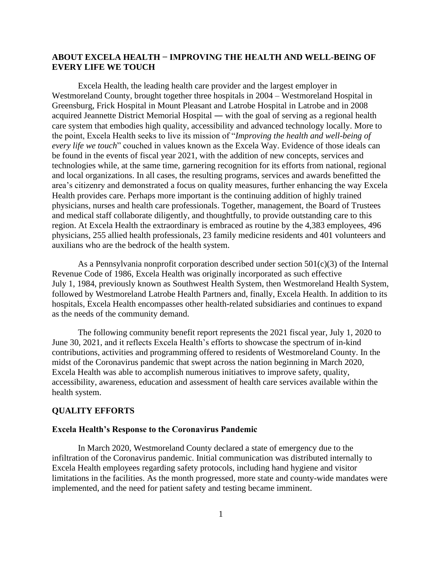# **ABOUT EXCELA HEALTH − IMPROVING THE HEALTH AND WELL-BEING OF EVERY LIFE WE TOUCH**

Excela Health, the leading health care provider and the largest employer in Westmoreland County, brought together three hospitals in 2004 – Westmoreland Hospital in Greensburg, Frick Hospital in Mount Pleasant and Latrobe Hospital in Latrobe and in 2008 acquired Jeannette District Memorial Hospital ― with the goal of serving as a regional health care system that embodies high quality, accessibility and advanced technology locally. More to the point, Excela Health seeks to live its mission of "*Improving the health and well-being of every life we touch*" couched in values known as the Excela Way. Evidence of those ideals can be found in the events of fiscal year 2021, with the addition of new concepts, services and technologies while, at the same time, garnering recognition for its efforts from national, regional and local organizations. In all cases, the resulting programs, services and awards benefitted the area's citizenry and demonstrated a focus on quality measures, further enhancing the way Excela Health provides care. Perhaps more important is the continuing addition of highly trained physicians, nurses and health care professionals. Together, management, the Board of Trustees and medical staff collaborate diligently, and thoughtfully, to provide outstanding care to this region. At Excela Health the extraordinary is embraced as routine by the 4,383 employees, 496 physicians, 255 allied health professionals, 23 family medicine residents and 401 volunteers and auxilians who are the bedrock of the health system.

As a Pennsylvania nonprofit corporation described under section  $501(c)(3)$  of the Internal Revenue Code of 1986, Excela Health was originally incorporated as such effective July 1, 1984, previously known as Southwest Health System, then Westmoreland Health System, followed by Westmoreland Latrobe Health Partners and, finally, Excela Health. In addition to its hospitals, Excela Health encompasses other health-related subsidiaries and continues to expand as the needs of the community demand.

The following community benefit report represents the 2021 fiscal year, July 1, 2020 to June 30, 2021, and it reflects Excela Health's efforts to showcase the spectrum of in-kind contributions, activities and programming offered to residents of Westmoreland County. In the midst of the Coronavirus pandemic that swept across the nation beginning in March 2020, Excela Health was able to accomplish numerous initiatives to improve safety, quality, accessibility, awareness, education and assessment of health care services available within the health system.

### **QUALITY EFFORTS**

#### **Excela Health's Response to the Coronavirus Pandemic**

In March 2020, Westmoreland County declared a state of emergency due to the infiltration of the Coronavirus pandemic. Initial communication was distributed internally to Excela Health employees regarding safety protocols, including hand hygiene and visitor limitations in the facilities. As the month progressed, more state and county-wide mandates were implemented, and the need for patient safety and testing became imminent.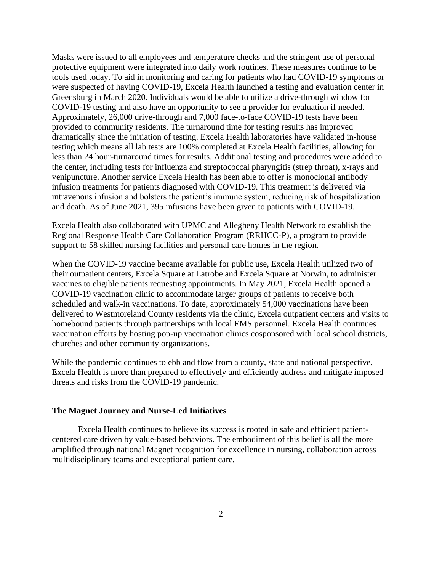Masks were issued to all employees and temperature checks and the stringent use of personal protective equipment were integrated into daily work routines. These measures continue to be tools used today. To aid in monitoring and caring for patients who had COVID-19 symptoms or were suspected of having COVID-19, Excela Health launched a testing and evaluation center in Greensburg in March 2020. Individuals would be able to utilize a drive-through window for COVID-19 testing and also have an opportunity to see a provider for evaluation if needed. Approximately, 26,000 drive-through and 7,000 face-to-face COVID-19 tests have been provided to community residents. The turnaround time for testing results has improved dramatically since the initiation of testing. Excela Health laboratories have validated in-house testing which means all lab tests are 100% completed at Excela Health facilities, allowing for less than 24 hour-turnaround times for results. Additional testing and procedures were added to the center, including tests for influenza and streptococcal pharyngitis (strep throat), x-rays and venipuncture. Another service Excela Health has been able to offer is monoclonal antibody infusion treatments for patients diagnosed with COVID-19. This treatment is delivered via intravenous infusion and bolsters the patient's immune system, reducing risk of hospitalization and death. As of June 2021, 395 infusions have been given to patients with COVID-19.

Excela Health also collaborated with UPMC and Allegheny Health Network to establish the Regional Response Health Care Collaboration Program (RRHCC-P), a program to provide support to 58 skilled nursing facilities and personal care homes in the region.

When the COVID-19 vaccine became available for public use, Excela Health utilized two of their outpatient centers, Excela Square at Latrobe and Excela Square at Norwin, to administer vaccines to eligible patients requesting appointments. In May 2021, Excela Health opened a COVID-19 vaccination clinic to accommodate larger groups of patients to receive both scheduled and walk-in vaccinations. To date, approximately 54,000 vaccinations have been delivered to Westmoreland County residents via the clinic, Excela outpatient centers and visits to homebound patients through partnerships with local EMS personnel. Excela Health continues vaccination efforts by hosting pop-up vaccination clinics cosponsored with local school districts, churches and other community organizations.

While the pandemic continues to ebb and flow from a county, state and national perspective, Excela Health is more than prepared to effectively and efficiently address and mitigate imposed threats and risks from the COVID-19 pandemic.

## **The Magnet Journey and Nurse-Led Initiatives**

Excela Health continues to believe its success is rooted in safe and efficient patientcentered care driven by value-based behaviors. The embodiment of this belief is all the more amplified through national Magnet recognition for excellence in nursing, collaboration across multidisciplinary teams and exceptional patient care.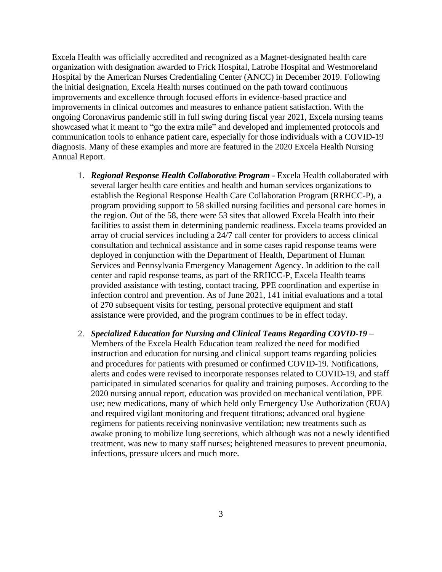Excela Health was officially accredited and recognized as a Magnet-designated health care organization with designation awarded to Frick Hospital, Latrobe Hospital and Westmoreland Hospital by the American Nurses Credentialing Center (ANCC) in December 2019. Following the initial designation, Excela Health nurses continued on the path toward continuous improvements and excellence through focused efforts in evidence-based practice and improvements in clinical outcomes and measures to enhance patient satisfaction. With the ongoing Coronavirus pandemic still in full swing during fiscal year 2021, Excela nursing teams showcased what it meant to "go the extra mile" and developed and implemented protocols and communication tools to enhance patient care, especially for those individuals with a COVID-19 diagnosis. Many of these examples and more are featured in the 2020 Excela Health Nursing Annual Report.

- 1. *Regional Response Health Collaborative Program* Excela Health collaborated with several larger health care entities and health and human services organizations to establish the Regional Response Health Care Collaboration Program (RRHCC-P), a program providing support to 58 skilled nursing facilities and personal care homes in the region. Out of the 58, there were 53 sites that allowed Excela Health into their facilities to assist them in determining pandemic readiness. Excela teams provided an array of crucial services including a 24/7 call center for providers to access clinical consultation and technical assistance and in some cases rapid response teams were deployed in conjunction with the Department of Health, Department of Human Services and Pennsylvania Emergency Management Agency. In addition to the call center and rapid response teams, as part of the RRHCC-P, Excela Health teams provided assistance with testing, contact tracing, PPE coordination and expertise in infection control and prevention. As of June 2021, 141 initial evaluations and a total of 270 subsequent visits for testing, personal protective equipment and staff assistance were provided, and the program continues to be in effect today.
- 2. *Specialized Education for Nursing and Clinical Teams Regarding COVID-19* Members of the Excela Health Education team realized the need for modified instruction and education for nursing and clinical support teams regarding policies and procedures for patients with presumed or confirmed COVID-19. Notifications, alerts and codes were revised to incorporate responses related to COVID-19, and staff participated in simulated scenarios for quality and training purposes. According to the 2020 nursing annual report, education was provided on mechanical ventilation, PPE use; new medications, many of which held only Emergency Use Authorization (EUA) and required vigilant monitoring and frequent titrations; advanced oral hygiene regimens for patients receiving noninvasive ventilation; new treatments such as awake proning to mobilize lung secretions, which although was not a newly identified treatment, was new to many staff nurses; heightened measures to prevent pneumonia, infections, pressure ulcers and much more.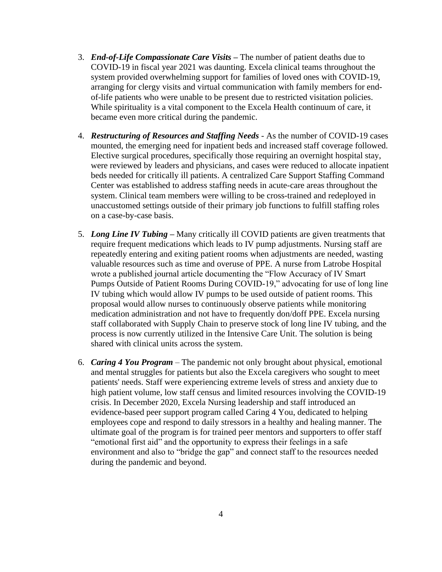- 3. *End-of-Life Compassionate Care Visits –* The number of patient deaths due to COVID-19 in fiscal year 2021 was daunting. Excela clinical teams throughout the system provided overwhelming support for families of loved ones with COVID-19, arranging for clergy visits and virtual communication with family members for endof-life patients who were unable to be present due to restricted visitation policies. While spirituality is a vital component to the Excela Health continuum of care, it became even more critical during the pandemic.
- 4. *Restructuring of Resources and Staffing Needs* As the number of COVID-19 cases mounted, the emerging need for inpatient beds and increased staff coverage followed. Elective surgical procedures, specifically those requiring an overnight hospital stay, were reviewed by leaders and physicians, and cases were reduced to allocate inpatient beds needed for critically ill patients. A centralized Care Support Staffing Command Center was established to address staffing needs in acute-care areas throughout the system. Clinical team members were willing to be cross-trained and redeployed in unaccustomed settings outside of their primary job functions to fulfill staffing roles on a case-by-case basis.
- 5. *Long Line IV Tubing –* Many critically ill COVID patients are given treatments that require frequent medications which leads to IV pump adjustments. Nursing staff are repeatedly entering and exiting patient rooms when adjustments are needed, wasting valuable resources such as time and overuse of PPE. A nurse from Latrobe Hospital wrote a published journal article documenting the "Flow Accuracy of IV Smart Pumps Outside of Patient Rooms During COVID-19," advocating for use of long line IV tubing which would allow IV pumps to be used outside of patient rooms. This proposal would allow nurses to continuously observe patients while monitoring medication administration and not have to frequently don/doff PPE. Excela nursing staff collaborated with Supply Chain to preserve stock of long line IV tubing, and the process is now currently utilized in the Intensive Care Unit. The solution is being shared with clinical units across the system.
- 6. *Caring 4 You Program*  The pandemic not only brought about physical, emotional and mental struggles for patients but also the Excela caregivers who sought to meet patients' needs. Staff were experiencing extreme levels of stress and anxiety due to high patient volume, low staff census and limited resources involving the COVID-19 crisis. In December 2020, Excela Nursing leadership and staff introduced an evidence-based peer support program called Caring 4 You, dedicated to helping employees cope and respond to daily stressors in a healthy and healing manner. The ultimate goal of the program is for trained peer mentors and supporters to offer staff "emotional first aid" and the opportunity to express their feelings in a safe environment and also to "bridge the gap" and connect staff to the resources needed during the pandemic and beyond.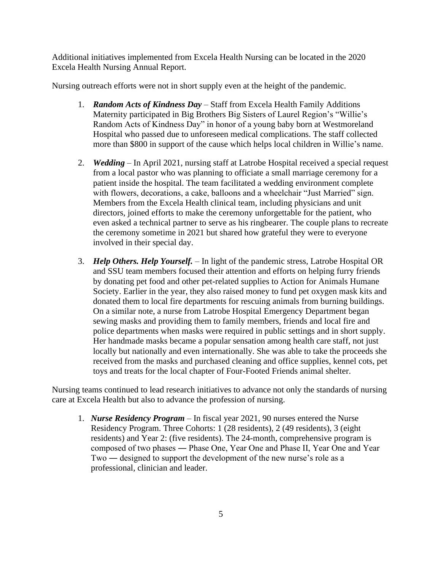Additional initiatives implemented from Excela Health Nursing can be located in the 2020 Excela Health Nursing Annual Report.

Nursing outreach efforts were not in short supply even at the height of the pandemic.

- 1. *Random Acts of Kindness Day* Staff from Excela Health Family Additions Maternity participated in Big Brothers Big Sisters of Laurel Region's "Willie's Random Acts of Kindness Day" in honor of a young baby born at Westmoreland Hospital who passed due to unforeseen medical complications. The staff collected more than \$800 in support of the cause which helps local children in Willie's name.
- 2. *Wedding* In April 2021, nursing staff at Latrobe Hospital received a special request from a local pastor who was planning to officiate a small marriage ceremony for a patient inside the hospital. The team facilitated a wedding environment complete with flowers, decorations, a cake, balloons and a wheelchair "Just Married" sign. Members from the Excela Health clinical team, including physicians and unit directors, joined efforts to make the ceremony unforgettable for the patient, who even asked a technical partner to serve as his ringbearer. The couple plans to recreate the ceremony sometime in 2021 but shared how grateful they were to everyone involved in their special day.
- 3. *Help Others. Help Yourself.* In light of the pandemic stress, Latrobe Hospital OR and SSU team members focused their attention and efforts on helping furry friends by donating pet food and other pet-related supplies to Action for Animals Humane Society. Earlier in the year, they also raised money to fund pet oxygen mask kits and donated them to local fire departments for rescuing animals from burning buildings. On a similar note, a nurse from Latrobe Hospital Emergency Department began sewing masks and providing them to family members, friends and local fire and police departments when masks were required in public settings and in short supply. Her handmade masks became a popular sensation among health care staff, not just locally but nationally and even internationally. She was able to take the proceeds she received from the masks and purchased cleaning and office supplies, kennel cots, pet toys and treats for the local chapter of Four-Footed Friends animal shelter.

Nursing teams continued to lead research initiatives to advance not only the standards of nursing care at Excela Health but also to advance the profession of nursing.

1. *Nurse Residency Program* – In fiscal year 2021, 90 nurses entered the Nurse Residency Program. Three Cohorts: 1 (28 residents), 2 (49 residents), 3 (eight residents) and Year 2: (five residents). The 24-month, comprehensive program is composed of two phases ― Phase One, Year One and Phase II, Year One and Year Two ― designed to support the development of the new nurse's role as a professional, clinician and leader.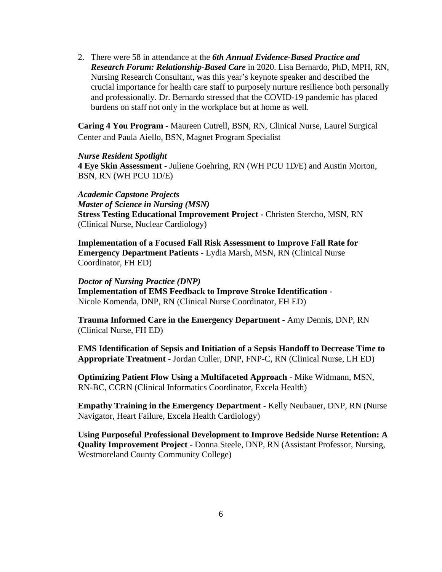2. There were 58 in attendance at the *6th Annual Evidence-Based Practice and Research Forum: Relationship-Based Care* in 2020. Lisa Bernardo, PhD, MPH, RN, Nursing Research Consultant, was this year's keynote speaker and described the crucial importance for health care staff to purposely nurture resilience both personally and professionally. Dr. Bernardo stressed that the COVID-19 pandemic has placed burdens on staff not only in the workplace but at home as well.

**Caring 4 You Program** - Maureen Cutrell, BSN, RN, Clinical Nurse, Laurel Surgical Center and Paula Aiello, BSN, Magnet Program Specialist

#### *Nurse Resident Spotlight*

**4 Eye Skin Assessment -** Juliene Goehring, RN (WH PCU 1D/E) and Austin Morton, BSN, RN (WH PCU 1D/E)

*Academic Capstone Projects Master of Science in Nursing (MSN)*  **Stress Testing Educational Improvement Project -** Christen Stercho, MSN, RN (Clinical Nurse, Nuclear Cardiology)

**Implementation of a Focused Fall Risk Assessment to Improve Fall Rate for Emergency Department Patients** - Lydia Marsh, MSN, RN (Clinical Nurse Coordinator, FH ED)

### *Doctor of Nursing Practice (DNP)*

**Implementation of EMS Feedback to Improve Stroke Identification** - Nicole Komenda, DNP, RN (Clinical Nurse Coordinator, FH ED)

**Trauma Informed Care in the Emergency Department -** Amy Dennis, DNP, RN (Clinical Nurse, FH ED)

**EMS Identification of Sepsis and Initiation of a Sepsis Handoff to Decrease Time to Appropriate Treatment -** Jordan Culler, DNP, FNP-C, RN (Clinical Nurse, LH ED)

**Optimizing Patient Flow Using a Multifaceted Approach -** Mike Widmann, MSN, RN-BC, CCRN (Clinical Informatics Coordinator, Excela Health)

**Empathy Training in the Emergency Department -** Kelly Neubauer, DNP, RN (Nurse Navigator, Heart Failure, Excela Health Cardiology)

**Using Purposeful Professional Development to Improve Bedside Nurse Retention: A Quality Improvement Project -** Donna Steele, DNP, RN (Assistant Professor, Nursing, Westmoreland County Community College)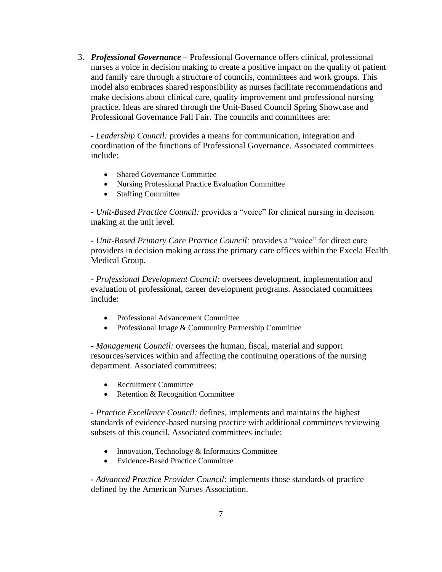3. *Professional Governance* **–** Professional Governance offers clinical, professional nurses a voice in decision making to create a positive impact on the quality of patient and family care through a structure of councils, committees and work groups. This model also embraces shared responsibility as nurses facilitate recommendations and make decisions about clinical care, quality improvement and professional nursing practice. Ideas are shared through the Unit-Based Council Spring Showcase and Professional Governance Fall Fair. The councils and committees are:

**-** *Leadership Council:* provides a means for communication, integration and coordination of the functions of Professional Governance. Associated committees include:

- Shared Governance Committee
- Nursing Professional Practice Evaluation Committee
- Staffing Committee

**-** *Unit-Based Practice Council:* provides a "voice" for clinical nursing in decision making at the unit level.

**-** *Unit-Based Primary Care Practice Council:* provides a "voice" for direct care providers in decision making across the primary care offices within the Excela Health Medical Group.

**-** *Professional Development Council:* oversees development, implementation and evaluation of professional, career development programs. Associated committees include:

- Professional Advancement Committee
- Professional Image & Community Partnership Committee

**-** *Management Council:* oversees the human, fiscal, material and support resources/services within and affecting the continuing operations of the nursing department. Associated committees:

- Recruitment Committee
- Retention & Recognition Committee

**-** *Practice Excellence Council:* defines, implements and maintains the highest standards of evidence-based nursing practice with additional committees reviewing subsets of this council. Associated committees include:

- Innovation, Technology & Informatics Committee
- Evidence-Based Practice Committee

**-** *Advanced Practice Provider Council:* implements those standards of practice defined by the American Nurses Association.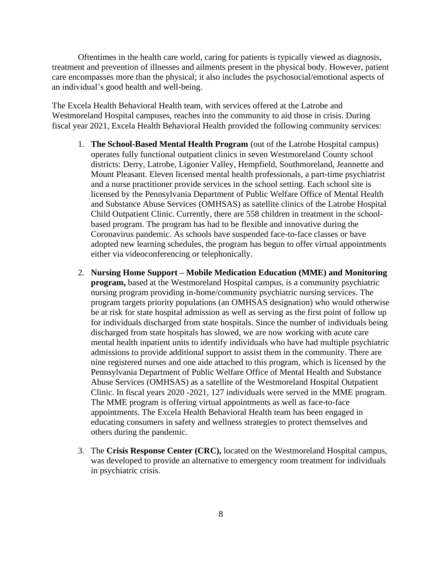Oftentimes in the health care world, caring for patients is typically viewed as diagnosis, treatment and prevention of illnesses and ailments present in the physical body. However, patient care encompasses more than the physical; it also includes the psychosocial/emotional aspects of an individual's good health and well-being.

The Excela Health Behavioral Health team, with services offered at the Latrobe and Westmoreland Hospital campuses, reaches into the community to aid those in crisis. During fiscal year 2021, Excela Health Behavioral Health provided the following community services:

- 1. **The School-Based Mental Health Program** (out of the Latrobe Hospital campus) operates fully functional outpatient clinics in seven Westmoreland County school districts: Derry, Latrobe, Ligonier Valley, Hempfield, Southmoreland, Jeannette and Mount Pleasant. Eleven licensed mental health professionals, a part-time psychiatrist and a nurse practitioner provide services in the school setting. Each school site is licensed by the Pennsylvania Department of Public Welfare Office of Mental Health and Substance Abuse Services (OMHSAS) as satellite clinics of the Latrobe Hospital Child Outpatient Clinic. Currently, there are 558 children in treatment in the schoolbased program. The program has had to be flexible and innovative during the Coronavirus pandemic. As schools have suspended face-to-face classes or have adopted new learning schedules, the program has begun to offer virtual appointments either via videoconferencing or telephonically.
- 2. **Nursing Home Support – Mobile Medication Education (MME) and Monitoring program,** based at the Westmoreland Hospital campus, is a community psychiatric nursing program providing in-home/community psychiatric nursing services. The program targets priority populations (an OMHSAS designation) who would otherwise be at risk for state hospital admission as well as serving as the first point of follow up for individuals discharged from state hospitals. Since the number of individuals being discharged from state hospitals has slowed, we are now working with acute care mental health inpatient units to identify individuals who have had multiple psychiatric admissions to provide additional support to assist them in the community. There are nine registered nurses and one aide attached to this program, which is licensed by the Pennsylvania Department of Public Welfare Office of Mental Health and Substance Abuse Services (OMHSAS) as a satellite of the Westmoreland Hospital Outpatient Clinic. In fiscal years 2020 -2021, 127 individuals were served in the MME program. The MME program is offering virtual appointments as well as face-to-face appointments. The Excela Health Behavioral Health team has been engaged in educating consumers in safety and wellness strategies to protect themselves and others during the pandemic.
- 3. The **Crisis Response Center (CRC),** located on the Westmoreland Hospital campus, was developed to provide an alternative to emergency room treatment for individuals in psychiatric crisis.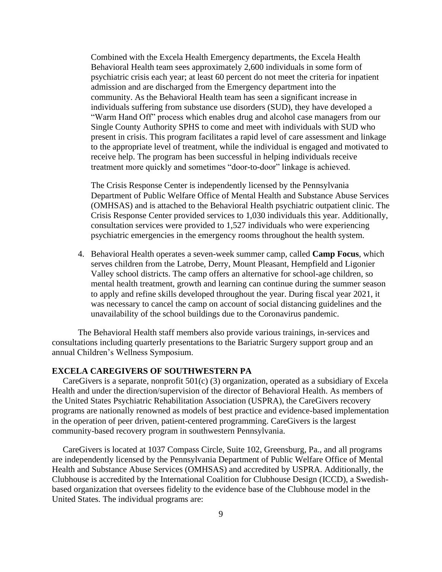Combined with the Excela Health Emergency departments, the Excela Health Behavioral Health team sees approximately 2,600 individuals in some form of psychiatric crisis each year; at least 60 percent do not meet the criteria for inpatient admission and are discharged from the Emergency department into the community. As the Behavioral Health team has seen a significant increase in individuals suffering from substance use disorders (SUD), they have developed a "Warm Hand Off" process which enables drug and alcohol case managers from our Single County Authority SPHS to come and meet with individuals with SUD who present in crisis. This program facilitates a rapid level of care assessment and linkage to the appropriate level of treatment, while the individual is engaged and motivated to receive help. The program has been successful in helping individuals receive treatment more quickly and sometimes "door-to-door" linkage is achieved.

The Crisis Response Center is independently licensed by the Pennsylvania Department of Public Welfare Office of Mental Health and Substance Abuse Services (OMHSAS) and is attached to the Behavioral Health psychiatric outpatient clinic. The Crisis Response Center provided services to 1,030 individuals this year. Additionally, consultation services were provided to 1,527 individuals who were experiencing psychiatric emergencies in the emergency rooms throughout the health system.

4. Behavioral Health operates a seven-week summer camp, called **Camp Focus**, which serves children from the Latrobe, Derry, Mount Pleasant, Hempfield and Ligonier Valley school districts. The camp offers an alternative for school-age children, so mental health treatment, growth and learning can continue during the summer season to apply and refine skills developed throughout the year. During fiscal year 2021, it was necessary to cancel the camp on account of social distancing guidelines and the unavailability of the school buildings due to the Coronavirus pandemic.

The Behavioral Health staff members also provide various trainings, in-services and consultations including quarterly presentations to the Bariatric Surgery support group and an annual Children's Wellness Symposium.

# **EXCELA CAREGIVERS OF SOUTHWESTERN PA**

 CareGivers is a separate, nonprofit 501(c) (3) organization, operated as a subsidiary of Excela Health and under the direction/supervision of the director of Behavioral Health. As members of the United States Psychiatric Rehabilitation Association (USPRA), the CareGivers recovery programs are nationally renowned as models of best practice and evidence-based implementation in the operation of peer driven, patient-centered programming. CareGivers is the largest community-based recovery program in southwestern Pennsylvania.

 CareGivers is located at 1037 Compass Circle, Suite 102, Greensburg, Pa., and all programs are independently licensed by the Pennsylvania Department of Public Welfare Office of Mental Health and Substance Abuse Services (OMHSAS) and accredited by USPRA. Additionally, the Clubhouse is accredited by the International Coalition for Clubhouse Design (ICCD), a Swedishbased organization that oversees fidelity to the evidence base of the Clubhouse model in the United States. The individual programs are: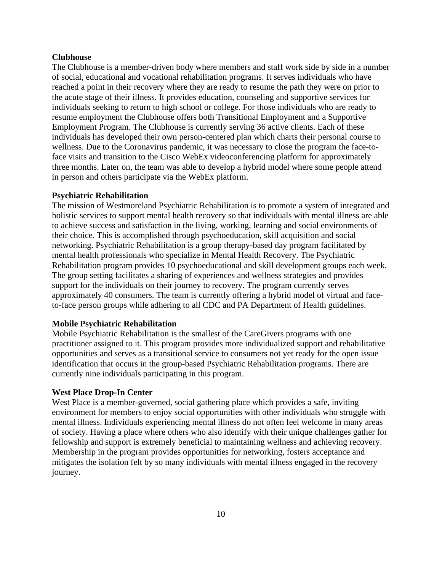## **Clubhouse**

The Clubhouse is a member-driven body where members and staff work side by side in a number of social, educational and vocational rehabilitation programs. It serves individuals who have reached a point in their recovery where they are ready to resume the path they were on prior to the acute stage of their illness. It provides education, counseling and supportive services for individuals seeking to return to high school or college. For those individuals who are ready to resume employment the Clubhouse offers both Transitional Employment and a Supportive Employment Program. The Clubhouse is currently serving 36 active clients. Each of these individuals has developed their own person-centered plan which charts their personal course to wellness. Due to the Coronavirus pandemic, it was necessary to close the program the face-toface visits and transition to the Cisco WebEx videoconferencing platform for approximately three months. Later on, the team was able to develop a hybrid model where some people attend in person and others participate via the WebEx platform.

### **Psychiatric Rehabilitation**

The mission of Westmoreland Psychiatric Rehabilitation is to promote a system of integrated and holistic services to support mental health recovery so that individuals with mental illness are able to achieve success and satisfaction in the living, working, learning and social environments of their choice. This is accomplished through psychoeducation, skill acquisition and social networking. Psychiatric Rehabilitation is a group therapy-based day program facilitated by mental health professionals who specialize in Mental Health Recovery. The Psychiatric Rehabilitation program provides 10 psychoeducational and skill development groups each week. The group setting facilitates a sharing of experiences and wellness strategies and provides support for the individuals on their journey to recovery. The program currently serves approximately 40 consumers. The team is currently offering a hybrid model of virtual and faceto-face person groups while adhering to all CDC and PA Department of Health guidelines.

### **Mobile Psychiatric Rehabilitation**

Mobile Psychiatric Rehabilitation is the smallest of the CareGivers programs with one practitioner assigned to it. This program provides more individualized support and rehabilitative opportunities and serves as a transitional service to consumers not yet ready for the open issue identification that occurs in the group-based Psychiatric Rehabilitation programs. There are currently nine individuals participating in this program.

### **West Place Drop-In Center**

West Place is a member-governed, social gathering place which provides a safe, inviting environment for members to enjoy social opportunities with other individuals who struggle with mental illness. Individuals experiencing mental illness do not often feel welcome in many areas of society. Having a place where others who also identify with their unique challenges gather for fellowship and support is extremely beneficial to maintaining wellness and achieving recovery. Membership in the program provides opportunities for networking, fosters acceptance and mitigates the isolation felt by so many individuals with mental illness engaged in the recovery journey.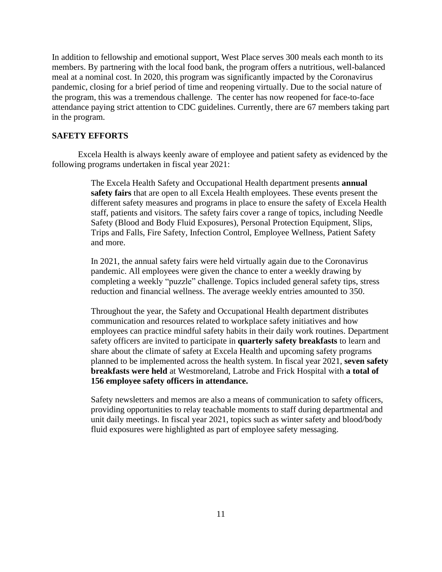In addition to fellowship and emotional support, West Place serves 300 meals each month to its members. By partnering with the local food bank, the program offers a nutritious, well-balanced meal at a nominal cost. In 2020, this program was significantly impacted by the Coronavirus pandemic, closing for a brief period of time and reopening virtually. Due to the social nature of the program, this was a tremendous challenge. The center has now reopened for face-to-face attendance paying strict attention to CDC guidelines. Currently, there are 67 members taking part in the program.

# **SAFETY EFFORTS**

Excela Health is always keenly aware of employee and patient safety as evidenced by the following programs undertaken in fiscal year 2021:

> The Excela Health Safety and Occupational Health department presents **annual safety fairs** that are open to all Excela Health employees. These events present the different safety measures and programs in place to ensure the safety of Excela Health staff, patients and visitors. The safety fairs cover a range of topics, including Needle Safety (Blood and Body Fluid Exposures), Personal Protection Equipment, Slips, Trips and Falls, Fire Safety, Infection Control, Employee Wellness, Patient Safety and more.

In 2021, the annual safety fairs were held virtually again due to the Coronavirus pandemic. All employees were given the chance to enter a weekly drawing by completing a weekly "puzzle" challenge. Topics included general safety tips, stress reduction and financial wellness. The average weekly entries amounted to 350.

Throughout the year, the Safety and Occupational Health department distributes communication and resources related to workplace safety initiatives and how employees can practice mindful safety habits in their daily work routines. Department safety officers are invited to participate in **quarterly safety breakfasts** to learn and share about the climate of safety at Excela Health and upcoming safety programs planned to be implemented across the health system. In fiscal year 2021, **seven safety breakfasts were held** at Westmoreland, Latrobe and Frick Hospital with **a total of 156 employee safety officers in attendance.**

Safety newsletters and memos are also a means of communication to safety officers, providing opportunities to relay teachable moments to staff during departmental and unit daily meetings. In fiscal year 2021, topics such as winter safety and blood/body fluid exposures were highlighted as part of employee safety messaging.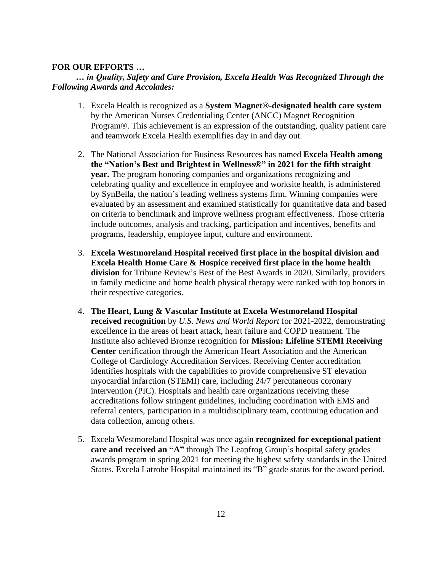# **FOR OUR EFFORTS …**

# *… in Quality, Safety and Care Provision, Excela Health Was Recognized Through the Following Awards and Accolades:*

- 1. Excela Health is recognized as a **System Magnet®-designated health care system** by the American Nurses Credentialing Center (ANCC) Magnet Recognition Program®. This achievement is an expression of the outstanding, quality patient care and teamwork Excela Health exemplifies day in and day out.
- 2. The National Association for Business Resources has named **Excela Health among the "Nation's Best and Brightest in Wellness®" in 2021 for the fifth straight year.** The program honoring companies and organizations recognizing and celebrating quality and excellence in employee and worksite health, is administered by SynBella, the nation's leading wellness systems firm. Winning companies were evaluated by an assessment and examined statistically for quantitative data and based on criteria to benchmark and improve wellness program effectiveness. Those criteria include outcomes, analysis and tracking, participation and incentives, benefits and programs, leadership, employee input, culture and environment.
- 3. **Excela Westmoreland Hospital received first place in the hospital division and Excela Health Home Care & Hospice received first place in the home health division** for Tribune Review's Best of the Best Awards in 2020. Similarly, providers in family medicine and home health physical therapy were ranked with top honors in their respective categories.
- 4. **The Heart, Lung & Vascular Institute at Excela Westmoreland Hospital received recognition** by *U.S. News and World Report* for 2021-2022, demonstrating excellence in the areas of heart attack, heart failure and COPD treatment. The Institute also achieved Bronze recognition for **Mission: Lifeline STEMI Receiving Center** certification through the American Heart Association and the American College of Cardiology Accreditation Services. Receiving Center accreditation identifies hospitals with the capabilities to provide comprehensive ST elevation myocardial infarction (STEMI) care, including 24/7 percutaneous coronary intervention (PIC). Hospitals and health care organizations receiving these accreditations follow stringent guidelines, including coordination with EMS and referral centers, participation in a multidisciplinary team, continuing education and data collection, among others.
- 5. Excela Westmoreland Hospital was once again **recognized for exceptional patient care and received an "A"** through The Leapfrog Group's hospital safety grades awards program in spring 2021 for meeting the highest safety standards in the United States. Excela Latrobe Hospital maintained its "B" grade status for the award period.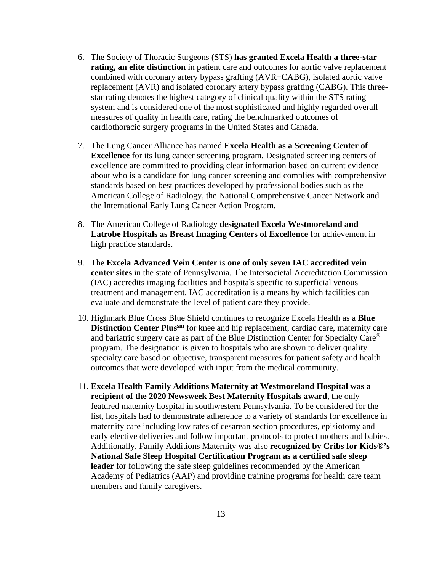- 6. The Society of Thoracic Surgeons (STS) **has granted Excela Health a three-star rating, an elite distinction** in patient care and outcomes for aortic valve replacement combined with coronary artery bypass grafting (AVR+CABG), isolated aortic valve replacement (AVR) and isolated coronary artery bypass grafting (CABG). This threestar rating denotes the highest category of clinical quality within the STS rating system and is considered one of the most sophisticated and highly regarded overall measures of quality in health care, rating the benchmarked outcomes of cardiothoracic surgery programs in the United States and Canada.
- 7. The Lung Cancer Alliance has named **Excela Health as a Screening Center of Excellence** for its lung cancer screening program. Designated screening centers of excellence are committed to providing clear information based on current evidence about who is a candidate for lung cancer screening and complies with comprehensive standards based on best practices developed by professional bodies such as the American College of Radiology, the National Comprehensive Cancer Network and the International Early Lung Cancer Action Program.
- 8. The American College of Radiology **designated Excela Westmoreland and Latrobe Hospitals as Breast Imaging Centers of Excellence** for achievement in high practice standards.
- 9. The **Excela Advanced Vein Center** is **one of only seven IAC accredited vein center sites** in the state of Pennsylvania. The Intersocietal Accreditation Commission (IAC) accredits imaging facilities and hospitals specific to superficial venous treatment and management. IAC accreditation is a means by which facilities can evaluate and demonstrate the level of patient care they provide.
- 10. Highmark Blue Cross Blue Shield continues to recognize Excela Health as a **Blue Distinction Center Plussm** for knee and hip replacement, cardiac care, maternity care and bariatric surgery care as part of the Blue Distinction Center for Specialty Care® program. The designation is given to hospitals who are shown to deliver quality specialty care based on objective, transparent measures for patient safety and health outcomes that were developed with input from the medical community.
- 11. **Excela Health Family Additions Maternity at Westmoreland Hospital was a recipient of the 2020 Newsweek Best Maternity Hospitals award**, the only featured maternity hospital in southwestern Pennsylvania. To be considered for the list, hospitals had to demonstrate adherence to a variety of standards for excellence in maternity care including low rates of cesarean section procedures, episiotomy and early elective deliveries and follow important protocols to protect mothers and babies. Additionally, Family Additions Maternity was also **recognized by Cribs for Kids®'s National Safe Sleep Hospital Certification Program as a certified safe sleep leader** for following the safe sleep guidelines recommended by the American Academy of Pediatrics (AAP) and providing training programs for health care team members and family caregivers.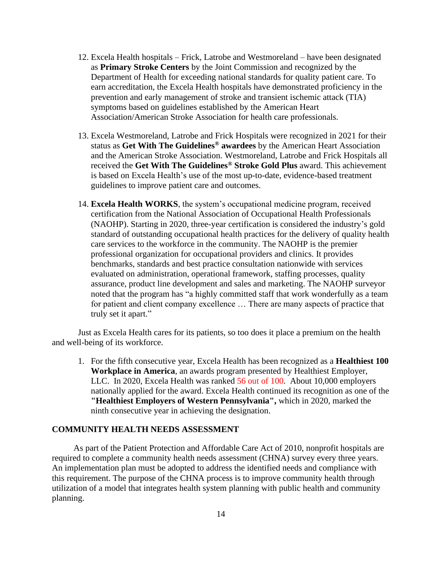- 12. Excela Health hospitals Frick, Latrobe and Westmoreland have been designated as **Primary Stroke Centers** by the Joint Commission and recognized by the Department of Health for exceeding national standards for quality patient care. To earn accreditation, the Excela Health hospitals have demonstrated proficiency in the prevention and early management of stroke and transient ischemic attack (TIA) symptoms based on guidelines established by the American Heart Association/American Stroke Association for health care professionals.
- 13. Excela Westmoreland, Latrobe and Frick Hospitals were recognized in 2021 for their status as **Get With The Guidelines® awardees** by the American Heart Association and the American Stroke Association. Westmoreland, Latrobe and Frick Hospitals all received the **Get With The Guidelines® Stroke Gold Plus** award. This achievement is based on Excela Health's use of the most up-to-date, evidence-based treatment guidelines to improve patient care and outcomes.
- 14. **Excela Health WORKS**, the system's occupational medicine program, received certification from the National Association of Occupational Health Professionals (NAOHP). Starting in 2020, three-year certification is considered the industry's gold standard of outstanding occupational health practices for the delivery of quality health care services to the workforce in the community. The NAOHP is the premier professional organization for occupational providers and clinics. It provides benchmarks, standards and best practice consultation nationwide with services evaluated on administration, operational framework, staffing processes, quality assurance, product line development and sales and marketing. The NAOHP surveyor noted that the program has "a highly committed staff that work wonderfully as a team for patient and client company excellence … There are many aspects of practice that truly set it apart."

Just as Excela Health cares for its patients, so too does it place a premium on the health and well-being of its workforce.

1. For the fifth consecutive year, Excela Health has been recognized as a **Healthiest 100 Workplace in America**, an awards program presented by Healthiest Employer, LLC. In 2020, Excela Health was ranked 56 out of 100. About 10,000 employers nationally applied for the award. Excela Health continued its recognition as one of the **"Healthiest Employers of Western Pennsylvania",** which in 2020, marked the ninth consecutive year in achieving the designation.

## **COMMUNITY HEALTH NEEDS ASSESSMENT**

As part of the Patient Protection and Affordable Care Act of 2010, nonprofit hospitals are required to complete a community health needs assessment (CHNA) survey every three years. An implementation plan must be adopted to address the identified needs and compliance with this requirement. The purpose of the CHNA process is to improve community health through utilization of a model that integrates health system planning with public health and community planning.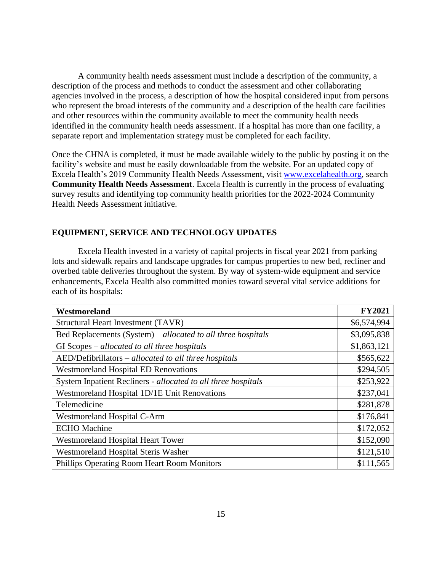A community health needs assessment must include a description of the community, a description of the process and methods to conduct the assessment and other collaborating agencies involved in the process, a description of how the hospital considered input from persons who represent the broad interests of the community and a description of the health care facilities and other resources within the community available to meet the community health needs identified in the community health needs assessment. If a hospital has more than one facility, a separate report and implementation strategy must be completed for each facility.

Once the CHNA is completed, it must be made available widely to the public by posting it on the facility's website and must be easily downloadable from the website. For an updated copy of Excela Health's 2019 Community Health Needs Assessment, visit [www.excelahealth.org,](http://www.excelahealth.org/) search **Community Health Needs Assessment**. Excela Health is currently in the process of evaluating survey results and identifying top community health priorities for the 2022-2024 Community Health Needs Assessment initiative.

# **EQUIPMENT, SERVICE AND TECHNOLOGY UPDATES**

Excela Health invested in a variety of capital projects in fiscal year 2021 from parking lots and sidewalk repairs and landscape upgrades for campus properties to new bed, recliner and overbed table deliveries throughout the system. By way of system-wide equipment and service enhancements, Excela Health also committed monies toward several vital service additions for each of its hospitals:

| Westmoreland                                                  | <b>FY2021</b> |
|---------------------------------------------------------------|---------------|
| Structural Heart Investment (TAVR)                            | \$6,574,994   |
| Bed Replacements (System) – allocated to all three hospitals  | \$3,095,838   |
| GI Scopes – allocated to all three hospitals                  | \$1,863,121   |
| AED/Defibrillators – allocated to all three hospitals         | \$565,622     |
| <b>Westmoreland Hospital ED Renovations</b>                   | \$294,505     |
| System Inpatient Recliners - allocated to all three hospitals | \$253,922     |
| Westmoreland Hospital 1D/1E Unit Renovations                  | \$237,041     |
| Telemedicine                                                  | \$281,878     |
| <b>Westmoreland Hospital C-Arm</b>                            | \$176,841     |
| <b>ECHO</b> Machine                                           | \$172,052     |
| Westmoreland Hospital Heart Tower                             | \$152,090     |
| Westmoreland Hospital Steris Washer                           | \$121,510     |
| Phillips Operating Room Heart Room Monitors                   | \$111,565     |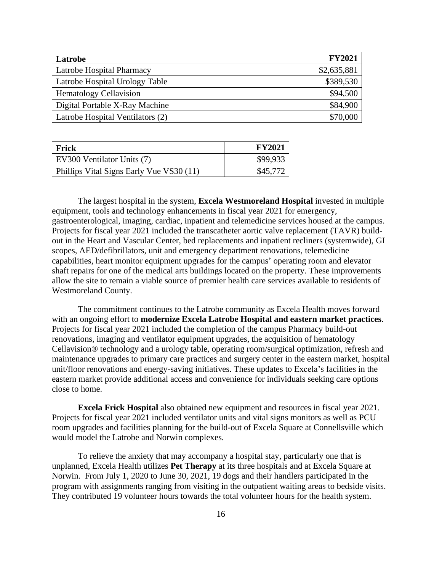| Latrobe                          | <b>FY2021</b> |
|----------------------------------|---------------|
| Latrobe Hospital Pharmacy        | \$2,635,881   |
| Latrobe Hospital Urology Table   | \$389,530     |
| <b>Hematology Cellavision</b>    | \$94,500      |
| Digital Portable X-Ray Machine   | \$84,900      |
| Latrobe Hospital Ventilators (2) | \$70,000      |

| Frick                                    | <b>FY2021</b> |
|------------------------------------------|---------------|
| EV300 Ventilator Units (7)               | \$99,933      |
| Phillips Vital Signs Early Vue VS30 (11) | \$45,772      |

The largest hospital in the system, **Excela Westmoreland Hospital** invested in multiple equipment, tools and technology enhancements in fiscal year 2021 for emergency, gastroenterological, imaging, cardiac, inpatient and telemedicine services housed at the campus. Projects for fiscal year 2021 included the transcatheter aortic valve replacement (TAVR) buildout in the Heart and Vascular Center, bed replacements and inpatient recliners (systemwide), GI scopes, AED/defibrillators, unit and emergency department renovations, telemedicine capabilities, heart monitor equipment upgrades for the campus' operating room and elevator shaft repairs for one of the medical arts buildings located on the property. These improvements allow the site to remain a viable source of premier health care services available to residents of Westmoreland County.

The commitment continues to the Latrobe community as Excela Health moves forward with an ongoing effort to **modernize Excela Latrobe Hospital and eastern market practices**. Projects for fiscal year 2021 included the completion of the campus Pharmacy build-out renovations, imaging and ventilator equipment upgrades, the acquisition of hematology Cellavision® technology and a urology table, operating room/surgical optimization, refresh and maintenance upgrades to primary care practices and surgery center in the eastern market, hospital unit/floor renovations and energy-saving initiatives. These updates to Excela's facilities in the eastern market provide additional access and convenience for individuals seeking care options close to home.

**Excela Frick Hospital** also obtained new equipment and resources in fiscal year 2021. Projects for fiscal year 2021 included ventilator units and vital signs monitors as well as PCU room upgrades and facilities planning for the build-out of Excela Square at Connellsville which would model the Latrobe and Norwin complexes.

To relieve the anxiety that may accompany a hospital stay, particularly one that is unplanned, Excela Health utilizes **Pet Therapy** at its three hospitals and at Excela Square at Norwin. From July 1, 2020 to June 30, 2021, 19 dogs and their handlers participated in the program with assignments ranging from visiting in the outpatient waiting areas to bedside visits. They contributed 19 volunteer hours towards the total volunteer hours for the health system.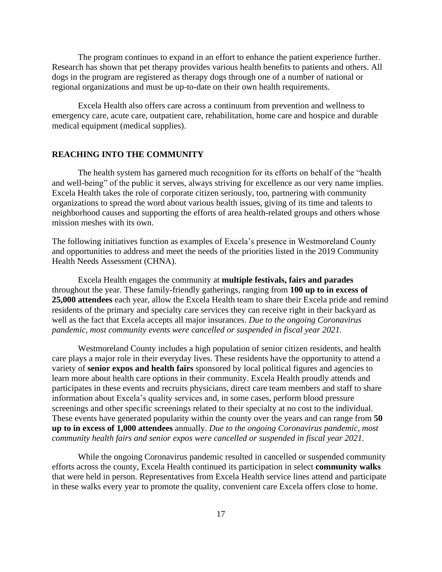The program continues to expand in an effort to enhance the patient experience further. Research has shown that pet therapy provides various health benefits to patients and others. All dogs in the program are registered as therapy dogs through one of a number of national or regional organizations and must be up-to-date on their own health requirements.

Excela Health also offers care across a continuum from prevention and wellness to emergency care, acute care, outpatient care, rehabilitation, home care and hospice and durable medical equipment (medical supplies).

# **REACHING INTO THE COMMUNITY**

The health system has garnered much recognition for its efforts on behalf of the "health and well-being" of the public it serves, always striving for excellence as our very name implies. Excela Health takes the role of corporate citizen seriously, too, partnering with community organizations to spread the word about various health issues, giving of its time and talents to neighborhood causes and supporting the efforts of area health-related groups and others whose mission meshes with its own.

The following initiatives function as examples of Excela's presence in Westmoreland County and opportunities to address and meet the needs of the priorities listed in the 2019 Community Health Needs Assessment (CHNA).

Excela Health engages the community at **multiple festivals, fairs and parades** throughout the year. These family-friendly gatherings, ranging from **100 up to in excess of 25,000 attendees** each year, allow the Excela Health team to share their Excela pride and remind residents of the primary and specialty care services they can receive right in their backyard as well as the fact that Excela accepts all major insurances. *Due to the ongoing Coronavirus pandemic, most community events were cancelled or suspended in fiscal year 2021.*

Westmoreland County includes a high population of senior citizen residents, and health care plays a major role in their everyday lives. These residents have the opportunity to attend a variety of **senior expos and health fairs** sponsored by local political figures and agencies to learn more about health care options in their community. Excela Health proudly attends and participates in these events and recruits physicians, direct care team members and staff to share information about Excela's quality services and, in some cases, perform blood pressure screenings and other specific screenings related to their specialty at no cost to the individual. These events have generated popularity within the county over the years and can range from **50 up to in excess of 1,000 attendees** annually. *Due to the ongoing Coronavirus pandemic, most community health fairs and senior expos were cancelled or suspended in fiscal year 2021.*

While the ongoing Coronavirus pandemic resulted in cancelled or suspended community efforts across the county, Excela Health continued its participation in select **community walks** that were held in person. Representatives from Excela Health service lines attend and participate in these walks every year to promote the quality, convenient care Excela offers close to home.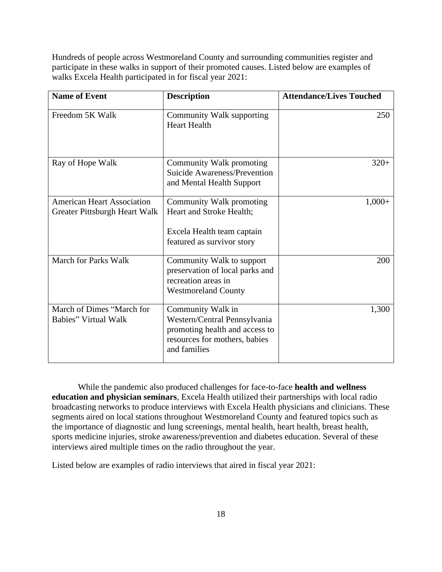Hundreds of people across Westmoreland County and surrounding communities register and participate in these walks in support of their promoted causes. Listed below are examples of walks Excela Health participated in for fiscal year 2021:

| <b>Name of Event</b>                                               | <b>Description</b>                                                                                                                   | <b>Attendance/Lives Touched</b> |
|--------------------------------------------------------------------|--------------------------------------------------------------------------------------------------------------------------------------|---------------------------------|
| Freedom 5K Walk                                                    | Community Walk supporting<br><b>Heart Health</b>                                                                                     | 250                             |
| Ray of Hope Walk                                                   | Community Walk promoting<br>Suicide Awareness/Prevention<br>and Mental Health Support                                                | $320+$                          |
| <b>American Heart Association</b><br>Greater Pittsburgh Heart Walk | Community Walk promoting<br>Heart and Stroke Health;<br>Excela Health team captain<br>featured as survivor story                     | $1,000+$                        |
| <b>March for Parks Walk</b>                                        | Community Walk to support<br>preservation of local parks and<br>recreation areas in<br><b>Westmoreland County</b>                    | 200                             |
| March of Dimes "March for<br><b>Babies</b> " Virtual Walk          | Community Walk in<br>Western/Central Pennsylvania<br>promoting health and access to<br>resources for mothers, babies<br>and families | 1,300                           |

While the pandemic also produced challenges for face-to-face **health and wellness education and physician seminars**, Excela Health utilized their partnerships with local radio broadcasting networks to produce interviews with Excela Health physicians and clinicians. These segments aired on local stations throughout Westmoreland County and featured topics such as the importance of diagnostic and lung screenings, mental health, heart health, breast health, sports medicine injuries, stroke awareness/prevention and diabetes education. Several of these interviews aired multiple times on the radio throughout the year.

Listed below are examples of radio interviews that aired in fiscal year 2021: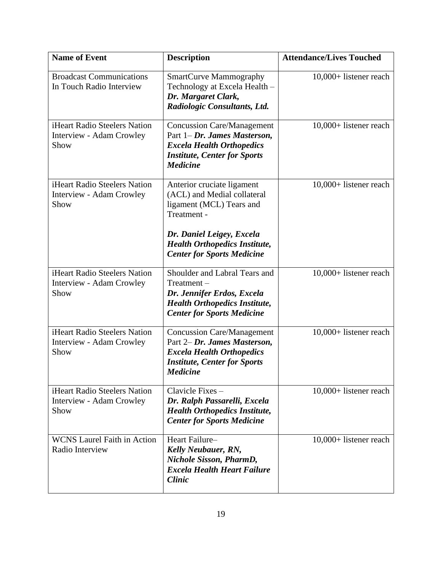| <b>Name of Event</b>                                             | <b>Description</b>                                                                                                                                                | <b>Attendance/Lives Touched</b> |
|------------------------------------------------------------------|-------------------------------------------------------------------------------------------------------------------------------------------------------------------|---------------------------------|
| <b>Broadcast Communications</b><br>In Touch Radio Interview      | <b>SmartCurve Mammography</b><br>Technology at Excela Health -<br>Dr. Margaret Clark,<br>Radiologic Consultants, Ltd.                                             | 10,000+ listener reach          |
| iHeart Radio Steelers Nation<br>Interview - Adam Crowley<br>Show | <b>Concussion Care/Management</b><br>Part $1-Dr$ . James Masterson,<br><b>Excela Health Orthopedics</b><br><b>Institute, Center for Sports</b><br><b>Medicine</b> | 10,000+ listener reach          |
| iHeart Radio Steelers Nation<br>Interview - Adam Crowley<br>Show | Anterior cruciate ligament<br>(ACL) and Medial collateral<br>ligament (MCL) Tears and<br>Treatment -<br>Dr. Daniel Leigey, Excela                                 | 10,000+ listener reach          |
|                                                                  | <b>Health Orthopedics Institute,</b><br><b>Center for Sports Medicine</b>                                                                                         |                                 |
| iHeart Radio Steelers Nation<br>Interview - Adam Crowley<br>Show | Shoulder and Labral Tears and<br>Treatment-<br>Dr. Jennifer Erdos, Excela<br><b>Health Orthopedics Institute,</b><br><b>Center for Sports Medicine</b>            | 10,000+ listener reach          |
| iHeart Radio Steelers Nation<br>Interview - Adam Crowley<br>Show | <b>Concussion Care/Management</b><br>Part 2– Dr. James Masterson,<br><b>Excela Health Orthopedics</b><br><b>Institute, Center for Sports</b><br><b>Medicine</b>   | 10,000+ listener reach          |
| iHeart Radio Steelers Nation<br>Interview - Adam Crowley<br>Show | Clavicle Fixes -<br>Dr. Ralph Passarelli, Excela<br><b>Health Orthopedics Institute,</b><br><b>Center for Sports Medicine</b>                                     | $10,000+$ listener reach        |
| <b>WCNS</b> Laurel Faith in Action<br>Radio Interview            | Heart Failure-<br>Kelly Neubauer, RN,<br>Nichole Sisson, PharmD,<br><b>Excela Health Heart Failure</b><br><b>Clinic</b>                                           | 10,000+ listener reach          |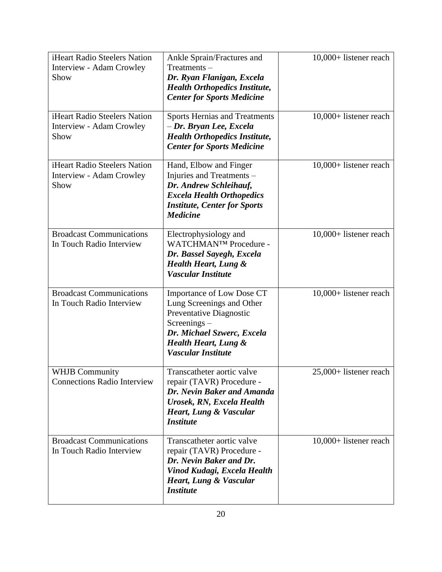| iHeart Radio Steelers Nation<br>Interview - Adam Crowley<br>Show | Ankle Sprain/Fractures and<br>$Treatments -$<br>Dr. Ryan Flanigan, Excela<br><b>Health Orthopedics Institute,</b><br><b>Center for Sports Medicine</b>                                     | 10,000+ listener reach   |
|------------------------------------------------------------------|--------------------------------------------------------------------------------------------------------------------------------------------------------------------------------------------|--------------------------|
| iHeart Radio Steelers Nation<br>Interview - Adam Crowley<br>Show | <b>Sports Hernias and Treatments</b><br>- Dr. Bryan Lee, Excela<br><b>Health Orthopedics Institute,</b><br><b>Center for Sports Medicine</b>                                               | 10,000+ listener reach   |
| iHeart Radio Steelers Nation<br>Interview - Adam Crowley<br>Show | Hand, Elbow and Finger<br>Injuries and Treatments -<br>Dr. Andrew Schleihauf,<br><b>Excela Health Orthopedics</b><br><b>Institute, Center for Sports</b><br><b>Medicine</b>                | 10,000+ listener reach   |
| <b>Broadcast Communications</b><br>In Touch Radio Interview      | Electrophysiology and<br>WATCHMAN™ Procedure -<br>Dr. Bassel Sayegh, Excela<br><b>Health Heart, Lung &amp;</b><br>Vascular Institute                                                       | 10,000+ listener reach   |
| <b>Broadcast Communications</b><br>In Touch Radio Interview      | Importance of Low Dose CT<br>Lung Screenings and Other<br>Preventative Diagnostic<br>$Screenings -$<br>Dr. Michael Szwerc, Excela<br><b>Health Heart, Lung &amp;</b><br>Vascular Institute | 10,000+ listener reach   |
| <b>WHJB Community</b><br><b>Connections Radio Interview</b>      | Transcatheter aortic valve<br>repair (TAVR) Procedure -<br>Dr. Nevin Baker and Amanda<br>Urosek, RN, Excela Health<br><b>Heart, Lung &amp; Vascular</b><br><b>Institute</b>                | $25,000+$ listener reach |
| <b>Broadcast Communications</b><br>In Touch Radio Interview      | Transcatheter aortic valve<br>repair (TAVR) Procedure -<br>Dr. Nevin Baker and Dr.<br>Vinod Kudagi, Excela Health<br><b>Heart, Lung &amp; Vascular</b><br><b>Institute</b>                 | 10,000+ listener reach   |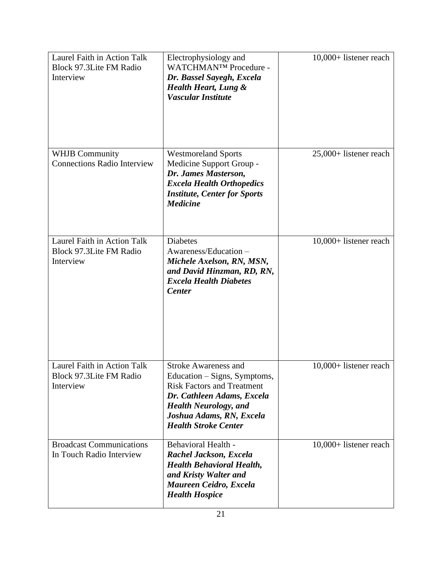| Laurel Faith in Action Talk<br>Block 97.3Lite FM Radio<br>Interview        | Electrophysiology and<br>WATCHMAN™ Procedure -<br>Dr. Bassel Sayegh, Excela<br><b>Health Heart, Lung &amp;</b><br>Vascular Institute                                                                                      | 10,000+ listener reach |
|----------------------------------------------------------------------------|---------------------------------------------------------------------------------------------------------------------------------------------------------------------------------------------------------------------------|------------------------|
| <b>WHJB Community</b><br><b>Connections Radio Interview</b>                | <b>Westmoreland Sports</b><br>Medicine Support Group -<br>Dr. James Masterson,<br><b>Excela Health Orthopedics</b><br><b>Institute, Center for Sports</b><br><b>Medicine</b>                                              | 25,000+ listener reach |
| Laurel Faith in Action Talk<br><b>Block 97.3Lite FM Radio</b><br>Interview | <b>Diabetes</b><br>Awareness/Education -<br>Michele Axelson, RN, MSN,<br>and David Hinzman, RD, RN,<br><b>Excela Health Diabetes</b><br><b>Center</b>                                                                     | 10,000+ listener reach |
| Laurel Faith in Action Talk<br>Block 97.3Lite FM Radio<br>Interview        | <b>Stroke Awareness and</b><br>Education - Signs, Symptoms,<br><b>Risk Factors and Treatment</b><br>Dr. Cathleen Adams, Excela<br><b>Health Neurology, and</b><br>Joshua Adams, RN, Excela<br><b>Health Stroke Center</b> | 10,000+ listener reach |
| <b>Broadcast Communications</b><br>In Touch Radio Interview                | <b>Behavioral Health -</b><br>Rachel Jackson, Excela<br><b>Health Behavioral Health,</b><br>and Kristy Walter and<br>Maureen Ceidro, Excela<br><b>Health Hospice</b>                                                      | 10,000+ listener reach |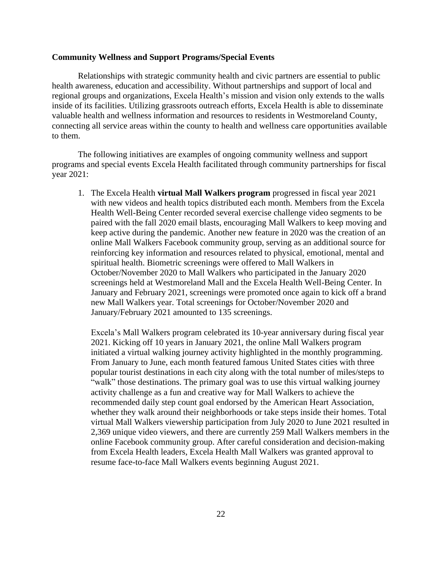### **Community Wellness and Support Programs/Special Events**

Relationships with strategic community health and civic partners are essential to public health awareness, education and accessibility. Without partnerships and support of local and regional groups and organizations, Excela Health's mission and vision only extends to the walls inside of its facilities. Utilizing grassroots outreach efforts, Excela Health is able to disseminate valuable health and wellness information and resources to residents in Westmoreland County, connecting all service areas within the county to health and wellness care opportunities available to them.

The following initiatives are examples of ongoing community wellness and support programs and special events Excela Health facilitated through community partnerships for fiscal year 2021:

1. The Excela Health **virtual Mall Walkers program** progressed in fiscal year 2021 with new videos and health topics distributed each month. Members from the Excela Health Well-Being Center recorded several exercise challenge video segments to be paired with the fall 2020 email blasts, encouraging Mall Walkers to keep moving and keep active during the pandemic. Another new feature in 2020 was the creation of an online Mall Walkers Facebook community group, serving as an additional source for reinforcing key information and resources related to physical, emotional, mental and spiritual health. Biometric screenings were offered to Mall Walkers in October/November 2020 to Mall Walkers who participated in the January 2020 screenings held at Westmoreland Mall and the Excela Health Well-Being Center. In January and February 2021, screenings were promoted once again to kick off a brand new Mall Walkers year. Total screenings for October/November 2020 and January/February 2021 amounted to 135 screenings.

Excela's Mall Walkers program celebrated its 10-year anniversary during fiscal year 2021. Kicking off 10 years in January 2021, the online Mall Walkers program initiated a virtual walking journey activity highlighted in the monthly programming. From January to June, each month featured famous United States cities with three popular tourist destinations in each city along with the total number of miles/steps to "walk" those destinations. The primary goal was to use this virtual walking journey activity challenge as a fun and creative way for Mall Walkers to achieve the recommended daily step count goal endorsed by the American Heart Association, whether they walk around their neighborhoods or take steps inside their homes. Total virtual Mall Walkers viewership participation from July 2020 to June 2021 resulted in 2,369 unique video viewers, and there are currently 259 Mall Walkers members in the online Facebook community group. After careful consideration and decision-making from Excela Health leaders, Excela Health Mall Walkers was granted approval to resume face-to-face Mall Walkers events beginning August 2021.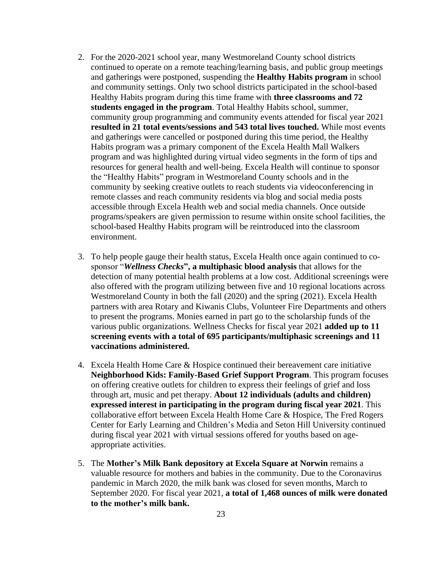- 2. For the 2020-2021 school year, many Westmoreland County school districts continued to operate on a remote teaching/learning basis, and public group meetings and gatherings were postponed, suspending the **Healthy Habits program** in school and community settings. Only two school districts participated in the school-based Healthy Habits program during this time frame with **three classrooms and 72 students engaged in the program**. Total Healthy Habits school, summer, community group programming and community events attended for fiscal year 2021 **resulted in 21 total events/sessions and 543 total lives touched.** While most events and gatherings were cancelled or postponed during this time period, the Healthy Habits program was a primary component of the Excela Health Mall Walkers program and was highlighted during virtual video segments in the form of tips and resources for general health and well-being. Excela Health will continue to sponsor the "Healthy Habits" program in Westmoreland County schools and in the community by seeking creative outlets to reach students via videoconferencing in remote classes and reach community residents via blog and social media posts accessible through Excela Health web and social media channels. Once outside programs/speakers are given permission to resume within onsite school facilities, the school-based Healthy Habits program will be reintroduced into the classroom environment.
- 3. To help people gauge their health status, Excela Health once again continued to cosponsor "*Wellness Checks***", a multiphasic blood analysis** that allows for the detection of many potential health problems at a low cost. Additional screenings were also offered with the program utilizing between five and 10 regional locations across Westmoreland County in both the fall (2020) and the spring (2021). Excela Health partners with area Rotary and Kiwanis Clubs, Volunteer Fire Departments and others to present the programs. Monies earned in part go to the scholarship funds of the various public organizations. Wellness Checks for fiscal year 2021 **added up to 11 screening events with a total of 695 participants/multiphasic screenings and 11 vaccinations administered.**
- 4. Excela Health Home Care & Hospice continued their bereavement care initiative **Neighborhood Kids: Family-Based Grief Support Program**. This program focuses on offering creative outlets for children to express their feelings of grief and loss through art, music and pet therapy. **About 12 individuals (adults and children) expressed interest in participating in the program during fiscal year 2021**. This collaborative effort between Excela Health Home Care & Hospice, The Fred Rogers Center for Early Learning and Children's Media and Seton Hill University continued during fiscal year 2021 with virtual sessions offered for youths based on ageappropriate activities.
- 5. The **Mother's Milk Bank depository at Excela Square at Norwin** remains a valuable resource for mothers and babies in the community. Due to the Coronavirus pandemic in March 2020, the milk bank was closed for seven months, March to September 2020. For fiscal year 2021, **a total of 1,468 ounces of milk were donated to the mother's milk bank.**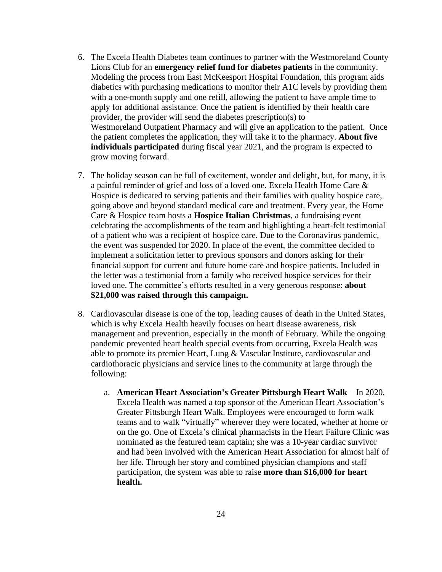- 6. The Excela Health Diabetes team continues to partner with the Westmoreland County Lions Club for an **emergency relief fund for diabetes patients** in the community. Modeling the process from East McKeesport Hospital Foundation, this program aids diabetics with purchasing medications to monitor their A1C levels by providing them with a one-month supply and one refill, allowing the patient to have ample time to apply for additional assistance. Once the patient is identified by their health care provider, the provider will send the diabetes prescription(s) to Westmoreland Outpatient Pharmacy and will give an application to the patient. Once the patient completes the application, they will take it to the pharmacy. **About five individuals participated** during fiscal year 2021, and the program is expected to grow moving forward.
- 7. The holiday season can be full of excitement, wonder and delight, but, for many, it is a painful reminder of grief and loss of a loved one. Excela Health Home Care & Hospice is dedicated to serving patients and their families with quality hospice care, going above and beyond standard medical care and treatment. Every year, the Home Care & Hospice team hosts a **Hospice Italian Christmas**, a fundraising event celebrating the accomplishments of the team and highlighting a heart-felt testimonial of a patient who was a recipient of hospice care. Due to the Coronavirus pandemic, the event was suspended for 2020. In place of the event, the committee decided to implement a solicitation letter to previous sponsors and donors asking for their financial support for current and future home care and hospice patients. Included in the letter was a testimonial from a family who received hospice services for their loved one. The committee's efforts resulted in a very generous response: **about \$21,000 was raised through this campaign.**
- 8. Cardiovascular disease is one of the top, leading causes of death in the United States, which is why Excela Health heavily focuses on heart disease awareness, risk management and prevention, especially in the month of February. While the ongoing pandemic prevented heart health special events from occurring, Excela Health was able to promote its premier Heart, Lung & Vascular Institute, cardiovascular and cardiothoracic physicians and service lines to the community at large through the following:
	- a. **American Heart Association's Greater Pittsburgh Heart Walk** In 2020, Excela Health was named a top sponsor of the American Heart Association's Greater Pittsburgh Heart Walk. Employees were encouraged to form walk teams and to walk "virtually" wherever they were located, whether at home or on the go. One of Excela's clinical pharmacists in the Heart Failure Clinic was nominated as the featured team captain; she was a 10-year cardiac survivor and had been involved with the American Heart Association for almost half of her life. Through her story and combined physician champions and staff participation, the system was able to raise **more than \$16,000 for heart health.**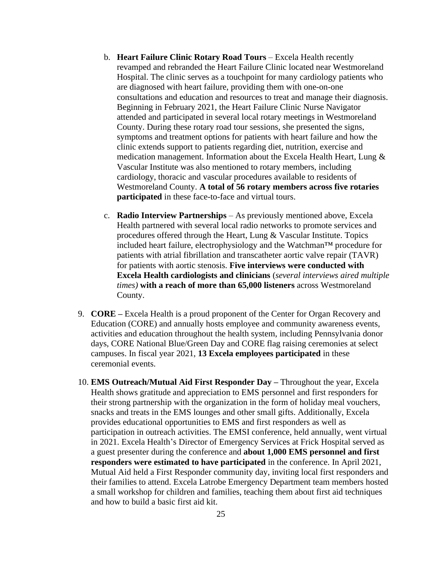- b. **Heart Failure Clinic Rotary Road Tours** Excela Health recently revamped and rebranded the Heart Failure Clinic located near Westmoreland Hospital. The clinic serves as a touchpoint for many cardiology patients who are diagnosed with heart failure, providing them with one-on-one consultations and education and resources to treat and manage their diagnosis. Beginning in February 2021, the Heart Failure Clinic Nurse Navigator attended and participated in several local rotary meetings in Westmoreland County. During these rotary road tour sessions, she presented the signs, symptoms and treatment options for patients with heart failure and how the clinic extends support to patients regarding diet, nutrition, exercise and medication management. Information about the Excela Health Heart, Lung & Vascular Institute was also mentioned to rotary members, including cardiology, thoracic and vascular procedures available to residents of Westmoreland County. **A total of 56 rotary members across five rotaries participated** in these face-to-face and virtual tours.
- c. **Radio Interview Partnerships** As previously mentioned above, Excela Health partnered with several local radio networks to promote services and procedures offered through the Heart, Lung & Vascular Institute. Topics included heart failure, electrophysiology and the Watchman™ procedure for patients with atrial fibrillation and transcatheter aortic valve repair (TAVR) for patients with aortic stenosis. **Five interviews were conducted with Excela Health cardiologists and clinicians** (*several interviews aired multiple times)* **with a reach of more than 65,000 listeners** across Westmoreland County.
- 9. **CORE –** Excela Health is a proud proponent of the Center for Organ Recovery and Education (CORE) and annually hosts employee and community awareness events, activities and education throughout the health system, including Pennsylvania donor days, CORE National Blue/Green Day and CORE flag raising ceremonies at select campuses. In fiscal year 2021, **13 Excela employees participated** in these ceremonial events.
- 10. **EMS Outreach/Mutual Aid First Responder Day –** Throughout the year, Excela Health shows gratitude and appreciation to EMS personnel and first responders for their strong partnership with the organization in the form of holiday meal vouchers, snacks and treats in the EMS lounges and other small gifts. Additionally, Excela provides educational opportunities to EMS and first responders as well as participation in outreach activities. The EMSI conference, held annually, went virtual in 2021. Excela Health's Director of Emergency Services at Frick Hospital served as a guest presenter during the conference and **about 1,000 EMS personnel and first responders were estimated to have participated** in the conference. In April 2021, Mutual Aid held a First Responder community day, inviting local first responders and their families to attend. Excela Latrobe Emergency Department team members hosted a small workshop for children and families, teaching them about first aid techniques and how to build a basic first aid kit.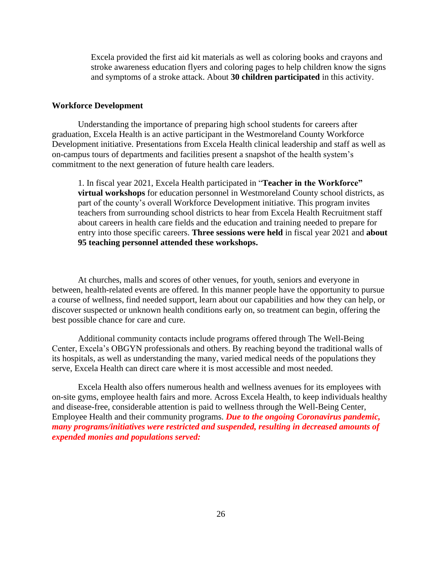Excela provided the first aid kit materials as well as coloring books and crayons and stroke awareness education flyers and coloring pages to help children know the signs and symptoms of a stroke attack. About **30 children participated** in this activity.

#### **Workforce Development**

Understanding the importance of preparing high school students for careers after graduation, Excela Health is an active participant in the Westmoreland County Workforce Development initiative. Presentations from Excela Health clinical leadership and staff as well as on-campus tours of departments and facilities present a snapshot of the health system's commitment to the next generation of future health care leaders.

1. In fiscal year 2021, Excela Health participated in "**Teacher in the Workforce" virtual workshops** for education personnel in Westmoreland County school districts, as part of the county's overall Workforce Development initiative. This program invites teachers from surrounding school districts to hear from Excela Health Recruitment staff about careers in health care fields and the education and training needed to prepare for entry into those specific careers. **Three sessions were held** in fiscal year 2021 and **about 95 teaching personnel attended these workshops.**

At churches, malls and scores of other venues, for youth, seniors and everyone in between, health-related events are offered. In this manner people have the opportunity to pursue a course of wellness, find needed support, learn about our capabilities and how they can help, or discover suspected or unknown health conditions early on, so treatment can begin, offering the best possible chance for care and cure.

Additional community contacts include programs offered through The Well-Being Center, Excela's OBGYN professionals and others. By reaching beyond the traditional walls of its hospitals, as well as understanding the many, varied medical needs of the populations they serve, Excela Health can direct care where it is most accessible and most needed.

Excela Health also offers numerous health and wellness avenues for its employees with on-site gyms, employee health fairs and more. Across Excela Health, to keep individuals healthy and disease-free, considerable attention is paid to wellness through the Well-Being Center, Employee Health and their community programs. *Due to the ongoing Coronavirus pandemic, many programs/initiatives were restricted and suspended, resulting in decreased amounts of expended monies and populations served:*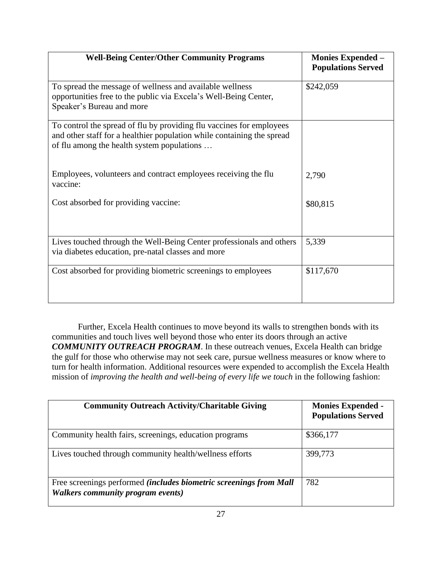| <b>Well-Being Center/Other Community Programs</b>                                                                                                                                            | <b>Monies Expended –</b><br><b>Populations Served</b> |
|----------------------------------------------------------------------------------------------------------------------------------------------------------------------------------------------|-------------------------------------------------------|
| To spread the message of wellness and available wellness<br>opportunities free to the public via Excela's Well-Being Center,<br>Speaker's Bureau and more                                    | \$242,059                                             |
| To control the spread of flu by providing flu vaccines for employees<br>and other staff for a healthier population while containing the spread<br>of flu among the health system populations |                                                       |
| Employees, volunteers and contract employees receiving the flu<br>vaccine:                                                                                                                   | 2,790                                                 |
| Cost absorbed for providing vaccine:                                                                                                                                                         | \$80,815                                              |
| Lives touched through the Well-Being Center professionals and others<br>via diabetes education, pre-natal classes and more                                                                   | 5,339                                                 |
| Cost absorbed for providing biometric screenings to employees                                                                                                                                | \$117,670                                             |

Further, Excela Health continues to move beyond its walls to strengthen bonds with its communities and touch lives well beyond those who enter its doors through an active *COMMUNITY OUTREACH PROGRAM*. In these outreach venues, Excela Health can bridge the gulf for those who otherwise may not seek care, pursue wellness measures or know where to turn for health information. Additional resources were expended to accomplish the Excela Health mission of *improving the health and well-being of every life we touch* in the following fashion:

| <b>Community Outreach Activity/Charitable Giving</b>                                                    | <b>Monies Expended -</b><br><b>Populations Served</b> |
|---------------------------------------------------------------------------------------------------------|-------------------------------------------------------|
| Community health fairs, screenings, education programs                                                  | \$366,177                                             |
| Lives touched through community health/wellness efforts                                                 | 399,773                                               |
| Free screenings performed (includes biometric screenings from Mall<br>Walkers community program events) | 782                                                   |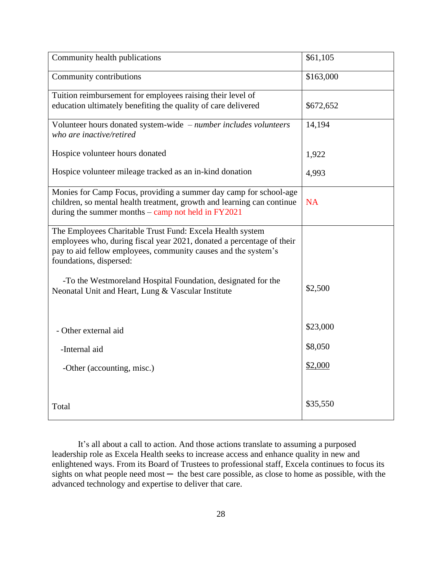| Community health publications                                                                                                           | \$61,105  |
|-----------------------------------------------------------------------------------------------------------------------------------------|-----------|
| Community contributions                                                                                                                 | \$163,000 |
| Tuition reimbursement for employees raising their level of                                                                              |           |
| education ultimately benefiting the quality of care delivered                                                                           | \$672,652 |
| Volunteer hours donated system-wide - number includes volunteers                                                                        | 14,194    |
| who are inactive/retired                                                                                                                |           |
| Hospice volunteer hours donated                                                                                                         | 1,922     |
| Hospice volunteer mileage tracked as an in-kind donation                                                                                | 4,993     |
| Monies for Camp Focus, providing a summer day camp for school-age                                                                       |           |
| children, so mental health treatment, growth and learning can continue<br>during the summer months $-$ camp not held in $FY2021$        | <b>NA</b> |
|                                                                                                                                         |           |
| The Employees Charitable Trust Fund: Excela Health system                                                                               |           |
| employees who, during fiscal year 2021, donated a percentage of their<br>pay to aid fellow employees, community causes and the system's |           |
| foundations, dispersed:                                                                                                                 |           |
|                                                                                                                                         |           |
| -To the Westmoreland Hospital Foundation, designated for the<br>Neonatal Unit and Heart, Lung & Vascular Institute                      | \$2,500   |
|                                                                                                                                         |           |
|                                                                                                                                         |           |
| - Other external aid                                                                                                                    | \$23,000  |
| -Internal aid                                                                                                                           | \$8,050   |
|                                                                                                                                         | \$2,000   |
| -Other (accounting, misc.)                                                                                                              |           |
|                                                                                                                                         |           |
| Total                                                                                                                                   | \$35,550  |
|                                                                                                                                         |           |

It's all about a call to action. And those actions translate to assuming a purposed leadership role as Excela Health seeks to increase access and enhance quality in new and enlightened ways. From its Board of Trustees to professional staff, Excela continues to focus its sights on what people need most  $-$  the best care possible, as close to home as possible, with the advanced technology and expertise to deliver that care.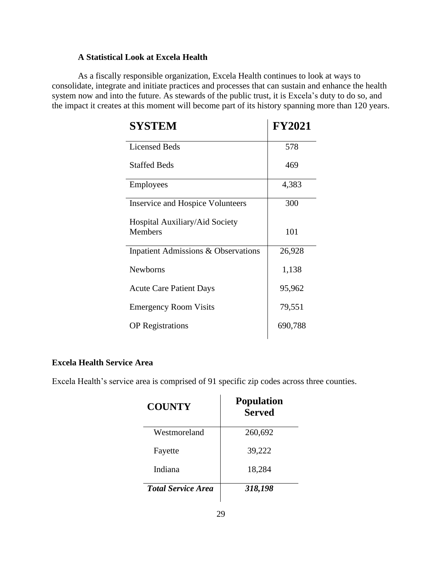# **A Statistical Look at Excela Health**

As a fiscally responsible organization, Excela Health continues to look at ways to consolidate, integrate and initiate practices and processes that can sustain and enhance the health system now and into the future. As stewards of the public trust, it is Excela's duty to do so, and the impact it creates at this moment will become part of its history spanning more than 120 years.

| <b>SYSTEM</b>                           | <b>FY2021</b> |
|-----------------------------------------|---------------|
| <b>Licensed Beds</b>                    | 578           |
| <b>Staffed Beds</b>                     | 469           |
| <b>Employees</b>                        | 4,383         |
| <b>Inservice and Hospice Volunteers</b> | 300           |
| Hospital Auxiliary/Aid Society          |               |
| <b>Members</b>                          | 101           |
| Inpatient Admissions & Observations     | 26,928        |
| <b>Newborns</b>                         | 1,138         |
| <b>Acute Care Patient Days</b>          | 95,962        |
| <b>Emergency Room Visits</b>            | 79,551        |
| <b>OP</b> Registrations                 | 690,788       |

# **Excela Health Service Area**

Excela Health's service area is comprised of 91 specific zip codes across three counties.

| <b>COUNTY</b>             | <b>Population</b><br><b>Served</b> |
|---------------------------|------------------------------------|
| Westmoreland              | 260,692                            |
| Fayette                   | 39,222                             |
| Indiana                   | 18,284                             |
| <b>Total Service Area</b> | 318,198                            |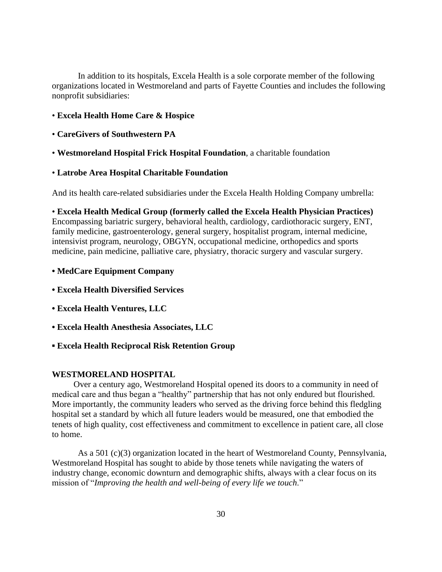In addition to its hospitals, Excela Health is a sole corporate member of the following organizations located in Westmoreland and parts of Fayette Counties and includes the following nonprofit subsidiaries:

- **Excela Health Home Care & Hospice**
- **CareGivers of Southwestern PA**
- **Westmoreland Hospital Frick Hospital Foundation**, a charitable foundation
- **Latrobe Area Hospital Charitable Foundation**

And its health care-related subsidiaries under the Excela Health Holding Company umbrella:

• **Excela Health Medical Group (formerly called the Excela Health Physician Practices)** Encompassing bariatric surgery, behavioral health, cardiology, cardiothoracic surgery, ENT, family medicine, gastroenterology, general surgery, hospitalist program, internal medicine, intensivist program, neurology, OBGYN, occupational medicine, orthopedics and sports medicine, pain medicine, palliative care, physiatry, thoracic surgery and vascular surgery.

- **MedCare Equipment Company**
- **Excela Health Diversified Services**
- **Excela Health Ventures, LLC**
- **• Excela Health Anesthesia Associates, LLC**
- **▪ Excela Health Reciprocal Risk Retention Group**

# **WESTMORELAND HOSPITAL**

 Over a century ago, Westmoreland Hospital opened its doors to a community in need of medical care and thus began a "healthy" partnership that has not only endured but flourished. More importantly, the community leaders who served as the driving force behind this fledgling hospital set a standard by which all future leaders would be measured, one that embodied the tenets of high quality, cost effectiveness and commitment to excellence in patient care, all close to home.

As a 501 (c)(3) organization located in the heart of Westmoreland County, Pennsylvania, Westmoreland Hospital has sought to abide by those tenets while navigating the waters of industry change, economic downturn and demographic shifts, always with a clear focus on its mission of "*Improving the health and well-being of every life we touch*."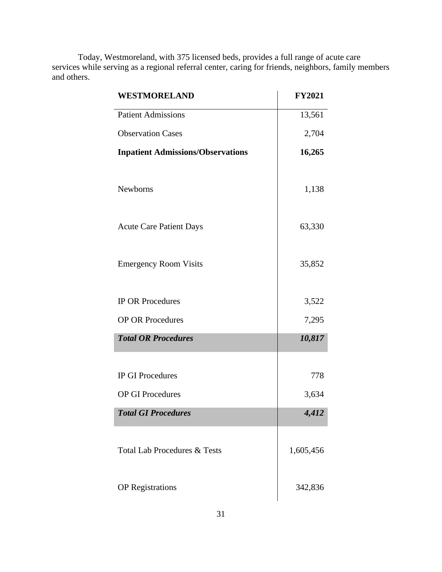Today, Westmoreland, with 375 licensed beds, provides a full range of acute care services while serving as a regional referral center, caring for friends, neighbors, family members and others.

| WESTMORELAND                             | <b>FY2021</b> |
|------------------------------------------|---------------|
| <b>Patient Admissions</b>                | 13,561        |
| <b>Observation Cases</b>                 | 2,704         |
| <b>Inpatient Admissions/Observations</b> | 16,265        |
|                                          |               |
| Newborns                                 | 1,138         |
|                                          |               |
| <b>Acute Care Patient Days</b>           | 63,330        |
|                                          |               |
| <b>Emergency Room Visits</b>             | 35,852        |
|                                          |               |
| <b>IP OR Procedures</b>                  | 3,522         |
| <b>OP OR Procedures</b>                  | 7,295         |
| <b>Total OR Procedures</b>               | 10,817        |
|                                          |               |
| <b>IP GI Procedures</b>                  | 778           |
| <b>OP GI Procedures</b>                  | 3,634         |
| <b>Total GI Procedures</b>               | 4,412         |
|                                          |               |
| <b>Total Lab Procedures &amp; Tests</b>  | 1,605,456     |
|                                          |               |
| <b>OP</b> Registrations                  | 342,836       |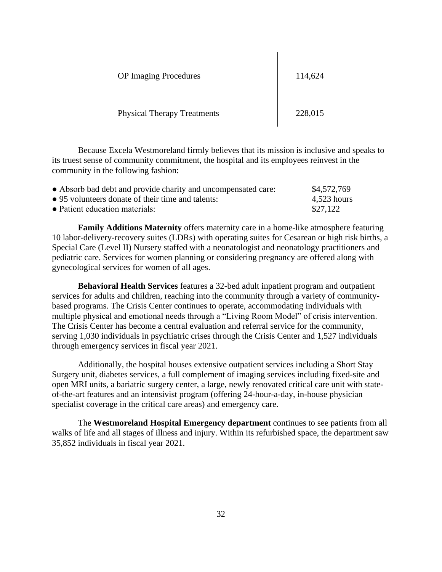| <b>OP</b> Imaging Procedures       | 114,624 |
|------------------------------------|---------|
| <b>Physical Therapy Treatments</b> | 228,015 |

Because Excela Westmoreland firmly believes that its mission is inclusive and speaks to its truest sense of community commitment, the hospital and its employees reinvest in the community in the following fashion:

| • Absorb bad debt and provide charity and uncompensated care: | \$4,572,769   |
|---------------------------------------------------------------|---------------|
| • 95 volunteers donate of their time and talents:             | $4.523$ hours |
| • Patient education materials:                                | \$27,122      |

**Family Additions Maternity** offers maternity care in a home-like atmosphere featuring 10 labor-delivery-recovery suites (LDRs) with operating suites for Cesarean or high risk births, a Special Care (Level II) Nursery staffed with a neonatologist and neonatology practitioners and pediatric care. Services for women planning or considering pregnancy are offered along with gynecological services for women of all ages.

**Behavioral Health Services** features a 32-bed adult inpatient program and outpatient services for adults and children, reaching into the community through a variety of communitybased programs. The Crisis Center continues to operate, accommodating individuals with multiple physical and emotional needs through a "Living Room Model" of crisis intervention. The Crisis Center has become a central evaluation and referral service for the community, serving 1,030 individuals in psychiatric crises through the Crisis Center and 1,527 individuals through emergency services in fiscal year 2021.

Additionally, the hospital houses extensive outpatient services including a Short Stay Surgery unit, diabetes services, a full complement of imaging services including fixed-site and open MRI units, a bariatric surgery center, a large, newly renovated critical care unit with stateof-the-art features and an intensivist program (offering 24-hour-a-day, in-house physician specialist coverage in the critical care areas) and emergency care.

The **Westmoreland Hospital Emergency department** continues to see patients from all walks of life and all stages of illness and injury. Within its refurbished space, the department saw 35,852 individuals in fiscal year 2021.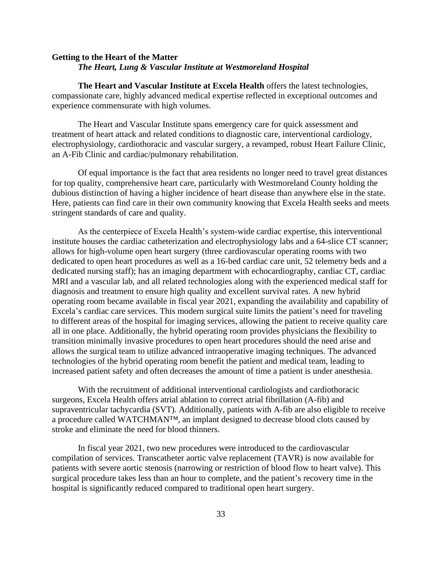# **Getting to the Heart of the Matter** *The Heart, Lung & Vascular Institute at Westmoreland Hospital*

**The Heart and Vascular Institute at Excela Health** offers the latest technologies, compassionate care, highly advanced medical expertise reflected in exceptional outcomes and experience commensurate with high volumes.

The Heart and Vascular Institute spans emergency care for quick assessment and treatment of heart attack and related conditions to diagnostic care, interventional cardiology, electrophysiology, cardiothoracic and vascular surgery, a revamped, robust Heart Failure Clinic, an A-Fib Clinic and cardiac/pulmonary rehabilitation.

Of equal importance is the fact that area residents no longer need to travel great distances for top quality, comprehensive heart care, particularly with Westmoreland County holding the dubious distinction of having a higher incidence of heart disease than anywhere else in the state. Here, patients can find care in their own community knowing that Excela Health seeks and meets stringent standards of care and quality.

As the centerpiece of Excela Health's system-wide cardiac expertise, this interventional institute houses the cardiac catheterization and electrophysiology labs and a 64-slice CT scanner; allows for high-volume open heart surgery (three cardiovascular operating rooms with two dedicated to open heart procedures as well as a 16-bed cardiac care unit, 52 telemetry beds and a dedicated nursing staff); has an imaging department with echocardiography, cardiac CT, cardiac MRI and a vascular lab, and all related technologies along with the experienced medical staff for diagnosis and treatment to ensure high quality and excellent survival rates. A new hybrid operating room became available in fiscal year 2021, expanding the availability and capability of Excela's cardiac care services. This modern surgical suite limits the patient's need for traveling to different areas of the hospital for imaging services, allowing the patient to receive quality care all in one place. Additionally, the hybrid operating room provides physicians the flexibility to transition minimally invasive procedures to open heart procedures should the need arise and allows the surgical team to utilize advanced intraoperative imaging techniques. The advanced technologies of the hybrid operating room benefit the patient and medical team, leading to increased patient safety and often decreases the amount of time a patient is under anesthesia.

With the recruitment of additional interventional cardiologists and cardiothoracic surgeons, Excela Health offers atrial ablation to correct atrial fibrillation (A-fib) and supraventricular tachycardia (SVT). Additionally, patients with A-fib are also eligible to receive a procedure called WATCHMAN™, an implant designed to decrease blood clots caused by stroke and eliminate the need for blood thinners.

In fiscal year 2021, two new procedures were introduced to the cardiovascular compilation of services. Transcatheter aortic valve replacement (TAVR) is now available for patients with severe aortic stenosis (narrowing or restriction of blood flow to heart valve). This surgical procedure takes less than an hour to complete, and the patient's recovery time in the hospital is significantly reduced compared to traditional open heart surgery.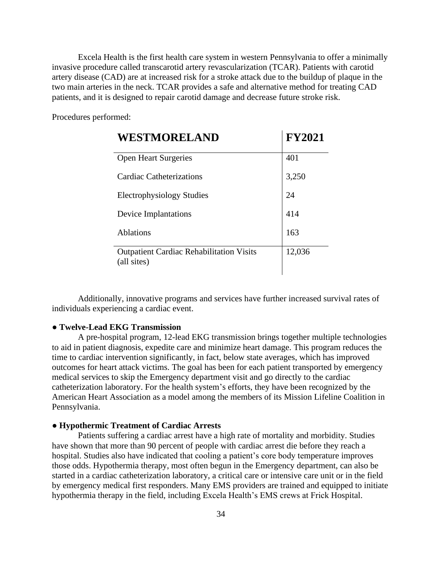Excela Health is the first health care system in western Pennsylvania to offer a minimally invasive procedure called transcarotid artery revascularization (TCAR). Patients with carotid artery disease (CAD) are at increased risk for a stroke attack due to the buildup of plaque in the two main arteries in the neck. TCAR provides a safe and alternative method for treating CAD patients, and it is designed to repair carotid damage and decrease future stroke risk.

Procedures performed:

| WESTMORELAND                                                   | <b>FY2021</b> |
|----------------------------------------------------------------|---------------|
| <b>Open Heart Surgeries</b>                                    | 401           |
| Cardiac Catheterizations                                       | 3,250         |
| Electrophysiology Studies                                      | 24            |
| Device Implantations                                           | 414           |
| <b>Ablations</b>                                               | 163           |
| <b>Outpatient Cardiac Rehabilitation Visits</b><br>(all sites) | 12,036        |

Additionally, innovative programs and services have further increased survival rates of individuals experiencing a cardiac event.

# ● **Twelve-Lead EKG Transmission**

A pre-hospital program, 12-lead EKG transmission brings together multiple technologies to aid in patient diagnosis, expedite care and minimize heart damage. This program reduces the time to cardiac intervention significantly, in fact, below state averages, which has improved outcomes for heart attack victims. The goal has been for each patient transported by emergency medical services to skip the Emergency department visit and go directly to the cardiac catheterization laboratory. For the health system's efforts, they have been recognized by the American Heart Association as a model among the members of its Mission Lifeline Coalition in Pennsylvania.

### ● **Hypothermic Treatment of Cardiac Arrests**

Patients suffering a cardiac arrest have a high rate of mortality and morbidity. Studies have shown that more than 90 percent of people with cardiac arrest die before they reach a hospital. Studies also have indicated that cooling a patient's core body temperature improves those odds. Hypothermia therapy, most often begun in the Emergency department, can also be started in a cardiac catheterization laboratory, a critical care or intensive care unit or in the field by emergency medical first responders. Many EMS providers are trained and equipped to initiate hypothermia therapy in the field, including Excela Health's EMS crews at Frick Hospital.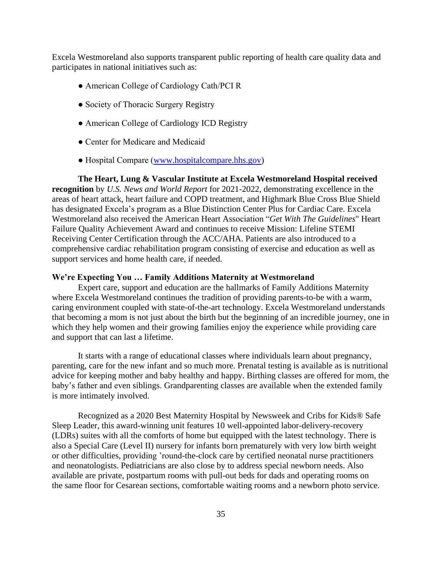Excela Westmoreland also supports transparent public reporting of health care quality data and participates in national initiatives such as:

- American College of Cardiology Cath/PCI R
- Society of Thoracic Surgery Registry
- American College of Cardiology ICD Registry
- Center for Medicare and Medicaid
- Hospital Compare [\(www.hospitalcompare.hhs.gov\)](http://www.hospitalcompare.hhs.gov/)

**The Heart, Lung & Vascular Institute at Excela Westmoreland Hospital received recognition** by *U.S. News and World Report* for 2021-2022, demonstrating excellence in the areas of heart attack, heart failure and COPD treatment, and Highmark Blue Cross Blue Shield has designated Excela's program as a Blue Distinction Center Plus for Cardiac Care. Excela Westmoreland also received the American Heart Association "*Get With The Guidelines*" Heart Failure Quality Achievement Award and continues to receive Mission: Lifeline STEMI Receiving Center Certification through the ACC/AHA. Patients are also introduced to a comprehensive cardiac rehabilitation program consisting of exercise and education as well as support services and home health care, if needed.

#### **We're Expecting You … Family Additions Maternity at Westmoreland**

Expert care, support and education are the hallmarks of Family Additions Maternity where Excela Westmoreland continues the tradition of providing parents-to-be with a warm, caring environment coupled with state-of-the-art technology. Excela Westmoreland understands that becoming a mom is not just about the birth but the beginning of an incredible journey, one in which they help women and their growing families enjoy the experience while providing care and support that can last a lifetime.

It starts with a range of educational classes where individuals learn about pregnancy, parenting, care for the new infant and so much more. Prenatal testing is available as is nutritional advice for keeping mother and baby healthy and happy. Birthing classes are offered for mom, the baby's father and even siblings. Grandparenting classes are available when the extended family is more intimately involved.

Recognized as a 2020 Best Maternity Hospital by Newsweek and Cribs for Kids® Safe Sleep Leader, this award-winning unit features 10 well-appointed labor-delivery-recovery (LDRs) suites with all the comforts of home but equipped with the latest technology. There is also a Special Care (Level II) nursery for infants born prematurely with very low birth weight or other difficulties, providing 'round-the-clock care by certified neonatal nurse practitioners and neonatologists. Pediatricians are also close by to address special newborn needs. Also available are private, postpartum rooms with pull-out beds for dads and operating rooms on the same floor for Cesarean sections, comfortable waiting rooms and a newborn photo service.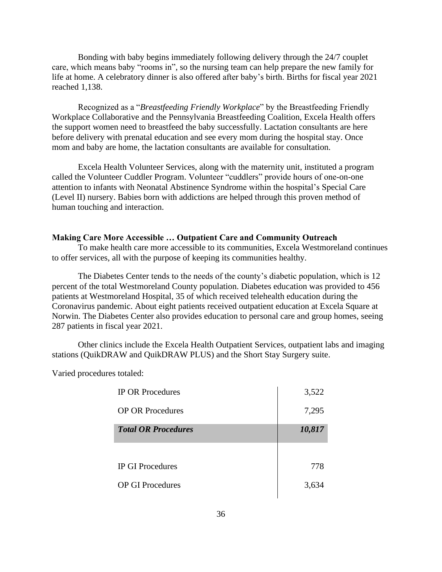Bonding with baby begins immediately following delivery through the 24/7 couplet care, which means baby "rooms in", so the nursing team can help prepare the new family for life at home. A celebratory dinner is also offered after baby's birth. Births for fiscal year 2021 reached 1,138.

Recognized as a "*Breastfeeding Friendly Workplace*" by the Breastfeeding Friendly Workplace Collaborative and the Pennsylvania Breastfeeding Coalition, Excela Health offers the support women need to breastfeed the baby successfully. Lactation consultants are here before delivery with prenatal education and see every mom during the hospital stay. Once mom and baby are home, the lactation consultants are available for consultation.

Excela Health Volunteer Services, along with the maternity unit, instituted a program called the Volunteer Cuddler Program. Volunteer "cuddlers" provide hours of one-on-one attention to infants with Neonatal Abstinence Syndrome within the hospital's Special Care (Level II) nursery. Babies born with addictions are helped through this proven method of human touching and interaction.

### **Making Care More Accessible … Outpatient Care and Community Outreach**

To make health care more accessible to its communities, Excela Westmoreland continues to offer services, all with the purpose of keeping its communities healthy.

The Diabetes Center tends to the needs of the county's diabetic population, which is 12 percent of the total Westmoreland County population. Diabetes education was provided to 456 patients at Westmoreland Hospital, 35 of which received telehealth education during the Coronavirus pandemic. About eight patients received outpatient education at Excela Square at Norwin. The Diabetes Center also provides education to personal care and group homes, seeing 287 patients in fiscal year 2021.

Other clinics include the Excela Health Outpatient Services, outpatient labs and imaging stations (QuikDRAW and QuikDRAW PLUS) and the Short Stay Surgery suite.

Varied procedures totaled:

| <b>IP OR Procedures</b>    | 3,522  |
|----------------------------|--------|
| <b>OP OR Procedures</b>    | 7,295  |
| <b>Total OR Procedures</b> | 10,817 |
|                            |        |
| <b>IP GI Procedures</b>    | 778    |
| <b>OP GI Procedures</b>    | 3,634  |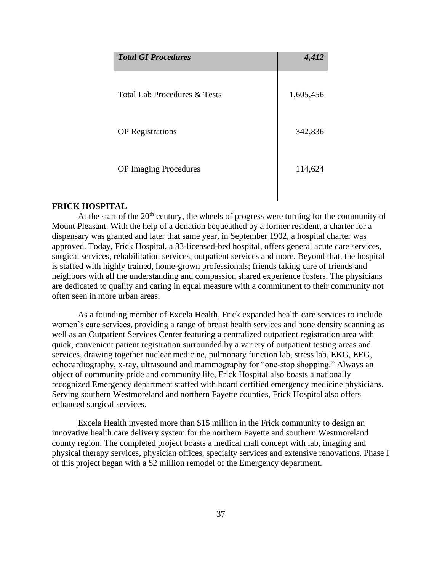| <b>Total GI Procedures</b>   | 4,412     |
|------------------------------|-----------|
| Total Lab Procedures & Tests | 1,605,456 |
| <b>OP</b> Registrations      | 342,836   |
| <b>OP</b> Imaging Procedures | 114,624   |

## **FRICK HOSPITAL**

At the start of the  $20<sup>th</sup>$  century, the wheels of progress were turning for the community of Mount Pleasant. With the help of a donation bequeathed by a former resident, a charter for a dispensary was granted and later that same year, in September 1902, a hospital charter was approved. Today, Frick Hospital, a 33-licensed-bed hospital, offers general acute care services, surgical services, rehabilitation services, outpatient services and more. Beyond that, the hospital is staffed with highly trained, home-grown professionals; friends taking care of friends and neighbors with all the understanding and compassion shared experience fosters. The physicians are dedicated to quality and caring in equal measure with a commitment to their community not often seen in more urban areas.

As a founding member of Excela Health, Frick expanded health care services to include women's care services, providing a range of breast health services and bone density scanning as well as an Outpatient Services Center featuring a centralized outpatient registration area with quick, convenient patient registration surrounded by a variety of outpatient testing areas and services, drawing together nuclear medicine, pulmonary function lab, stress lab, EKG, EEG, echocardiography, x-ray, ultrasound and mammography for "one-stop shopping." Always an object of community pride and community life, Frick Hospital also boasts a nationally recognized Emergency department staffed with board certified emergency medicine physicians. Serving southern Westmoreland and northern Fayette counties, Frick Hospital also offers enhanced surgical services.

Excela Health invested more than \$15 million in the Frick community to design an innovative health care delivery system for the northern Fayette and southern Westmoreland county region. The completed project boasts a medical mall concept with lab, imaging and physical therapy services, physician offices, specialty services and extensive renovations. Phase I of this project began with a \$2 million remodel of the Emergency department.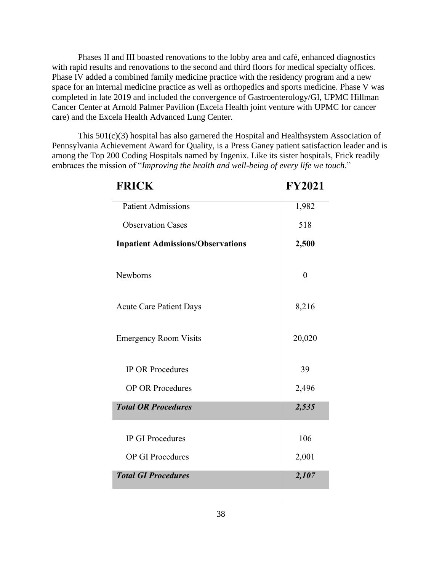Phases II and III boasted renovations to the lobby area and café, enhanced diagnostics with rapid results and renovations to the second and third floors for medical specialty offices. Phase IV added a combined family medicine practice with the residency program and a new space for an internal medicine practice as well as orthopedics and sports medicine. Phase V was completed in late 2019 and included the convergence of Gastroenterology/GI, UPMC Hillman Cancer Center at Arnold Palmer Pavilion (Excela Health joint venture with UPMC for cancer care) and the Excela Health Advanced Lung Center.

This 501(c)(3) hospital has also garnered the Hospital and Healthsystem Association of Pennsylvania Achievement Award for Quality, is a Press Ganey patient satisfaction leader and is among the Top 200 Coding Hospitals named by Ingenix. Like its sister hospitals, Frick readily embraces the mission of "*Improving the health and well-being of every life we touch*."

| <b>FRICK</b>                             | <b>FY2021</b>  |
|------------------------------------------|----------------|
| <b>Patient Admissions</b>                | 1,982          |
| <b>Observation Cases</b>                 | 518            |
| <b>Inpatient Admissions/Observations</b> | 2,500          |
| <b>Newborns</b>                          | $\overline{0}$ |
| <b>Acute Care Patient Days</b>           | 8,216          |
| <b>Emergency Room Visits</b>             | 20,020         |
| <b>IP OR Procedures</b>                  | 39             |
| <b>OP OR Procedures</b>                  | 2,496          |
| <b>Total OR Procedures</b>               | 2,535          |
| <b>IP GI Procedures</b>                  | 106            |
| <b>OP GI Procedures</b>                  | 2,001          |
| <b>Total GI Procedures</b>               | 2,107          |
|                                          |                |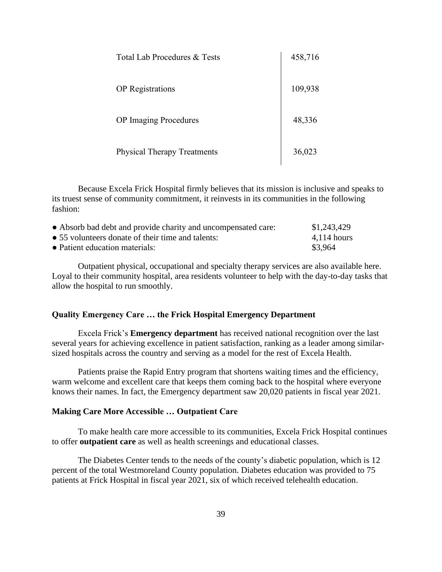| Total Lab Procedures & Tests       | 458,716 |
|------------------------------------|---------|
| <b>OP</b> Registrations            | 109,938 |
| <b>OP</b> Imaging Procedures       | 48,336  |
| <b>Physical Therapy Treatments</b> | 36,023  |

Because Excela Frick Hospital firmly believes that its mission is inclusive and speaks to its truest sense of community commitment, it reinvests in its communities in the following fashion:

| • Absorb bad debt and provide charity and uncompensated care: | \$1,243,429   |
|---------------------------------------------------------------|---------------|
| • 55 volunteers donate of their time and talents:             | $4,114$ hours |
| • Patient education materials:                                | \$3,964       |

Outpatient physical, occupational and specialty therapy services are also available here. Loyal to their community hospital, area residents volunteer to help with the day-to-day tasks that allow the hospital to run smoothly.

# **Quality Emergency Care … the Frick Hospital Emergency Department**

Excela Frick's **Emergency department** has received national recognition over the last several years for achieving excellence in patient satisfaction, ranking as a leader among similarsized hospitals across the country and serving as a model for the rest of Excela Health.

Patients praise the Rapid Entry program that shortens waiting times and the efficiency, warm welcome and excellent care that keeps them coming back to the hospital where everyone knows their names. In fact, the Emergency department saw 20,020 patients in fiscal year 2021.

#### **Making Care More Accessible … Outpatient Care**

To make health care more accessible to its communities, Excela Frick Hospital continues to offer **outpatient care** as well as health screenings and educational classes.

The Diabetes Center tends to the needs of the county's diabetic population, which is 12 percent of the total Westmoreland County population. Diabetes education was provided to 75 patients at Frick Hospital in fiscal year 2021, six of which received telehealth education.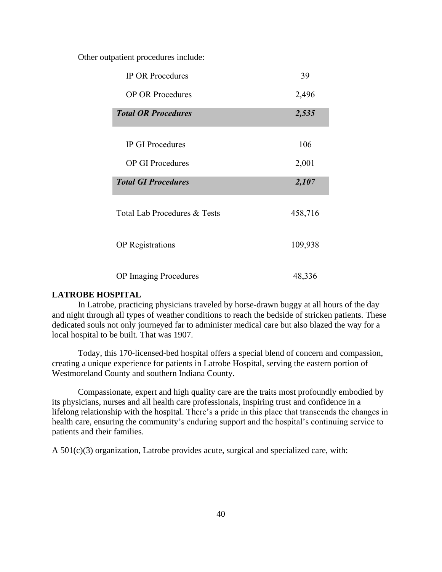Other outpatient procedures include:

| <b>IP OR Procedures</b>      | 39      |
|------------------------------|---------|
| <b>OP OR Procedures</b>      | 2,496   |
| <b>Total OR Procedures</b>   | 2,535   |
| <b>IP GI Procedures</b>      | 106     |
|                              |         |
| <b>OP GI Procedures</b>      | 2,001   |
| <b>Total GI Procedures</b>   | 2,107   |
| Total Lab Procedures & Tests | 458,716 |
| <b>OP</b> Registrations      | 109,938 |
| <b>OP</b> Imaging Procedures | 48,336  |

## **LATROBE HOSPITAL**

In Latrobe, practicing physicians traveled by horse-drawn buggy at all hours of the day and night through all types of weather conditions to reach the bedside of stricken patients. These dedicated souls not only journeyed far to administer medical care but also blazed the way for a local hospital to be built. That was 1907.

Today, this 170-licensed-bed hospital offers a special blend of concern and compassion, creating a unique experience for patients in Latrobe Hospital, serving the eastern portion of Westmoreland County and southern Indiana County.

Compassionate, expert and high quality care are the traits most profoundly embodied by its physicians, nurses and all health care professionals, inspiring trust and confidence in a lifelong relationship with the hospital. There's a pride in this place that transcends the changes in health care, ensuring the community's enduring support and the hospital's continuing service to patients and their families.

A 501(c)(3) organization, Latrobe provides acute, surgical and specialized care, with: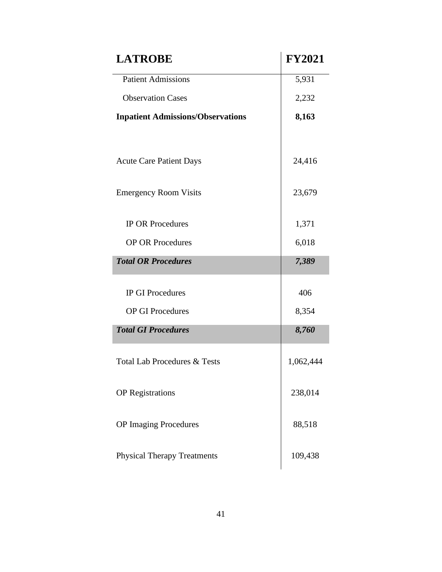| <b>LATROBE</b>                           | <b>FY2021</b> |
|------------------------------------------|---------------|
| <b>Patient Admissions</b>                | 5,931         |
| <b>Observation Cases</b>                 | 2,232         |
| <b>Inpatient Admissions/Observations</b> | 8,163         |
| <b>Acute Care Patient Days</b>           | 24,416        |
| <b>Emergency Room Visits</b>             | 23,679        |
| <b>IP OR Procedures</b>                  | 1,371         |
| <b>OP OR Procedures</b>                  | 6,018         |
| <b>Total OR Procedures</b>               | 7,389         |
| <b>IP GI Procedures</b>                  | 406           |
| <b>OP GI Procedures</b>                  | 8,354         |
| <b>Total GI Procedures</b>               | 8,760         |
| <b>Total Lab Procedures &amp; Tests</b>  | 1,062,444     |
| <b>OP</b> Registrations                  | 238,014       |
| <b>OP Imaging Procedures</b>             | 88,518        |
| <b>Physical Therapy Treatments</b>       | 109,438       |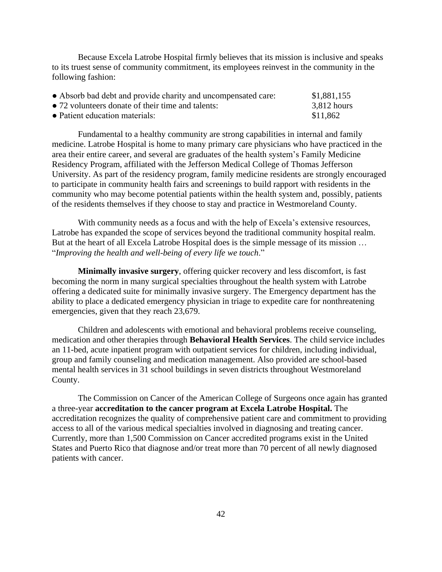Because Excela Latrobe Hospital firmly believes that its mission is inclusive and speaks to its truest sense of community commitment, its employees reinvest in the community in the following fashion:

| • Absorb bad debt and provide charity and uncompensated care: | \$1,881,155   |
|---------------------------------------------------------------|---------------|
| • 72 volunteers donate of their time and talents:             | $3,812$ hours |
| • Patient education materials:                                | \$11,862      |

Fundamental to a healthy community are strong capabilities in internal and family medicine. Latrobe Hospital is home to many primary care physicians who have practiced in the area their entire career, and several are graduates of the health system's Family Medicine Residency Program, affiliated with the Jefferson Medical College of Thomas Jefferson University. As part of the residency program, family medicine residents are strongly encouraged to participate in community health fairs and screenings to build rapport with residents in the community who may become potential patients within the health system and, possibly, patients of the residents themselves if they choose to stay and practice in Westmoreland County.

With community needs as a focus and with the help of Excela's extensive resources, Latrobe has expanded the scope of services beyond the traditional community hospital realm. But at the heart of all Excela Latrobe Hospital does is the simple message of its mission ... "*Improving the health and well-being of every life we touch*."

**Minimally invasive surgery**, offering quicker recovery and less discomfort, is fast becoming the norm in many surgical specialties throughout the health system with Latrobe offering a dedicated suite for minimally invasive surgery. The Emergency department has the ability to place a dedicated emergency physician in triage to expedite care for nonthreatening emergencies, given that they reach 23,679.

Children and adolescents with emotional and behavioral problems receive counseling, medication and other therapies through **Behavioral Health Services**. The child service includes an 11-bed, acute inpatient program with outpatient services for children, including individual, group and family counseling and medication management. Also provided are school-based mental health services in 31 school buildings in seven districts throughout Westmoreland County.

The Commission on Cancer of the American College of Surgeons once again has granted a three-year **accreditation to the cancer program at Excela Latrobe Hospital.** The accreditation recognizes the quality of comprehensive patient care and commitment to providing access to all of the various medical specialties involved in diagnosing and treating cancer. Currently, more than 1,500 Commission on Cancer accredited programs exist in the United States and Puerto Rico that diagnose and/or treat more than 70 percent of all newly diagnosed patients with cancer.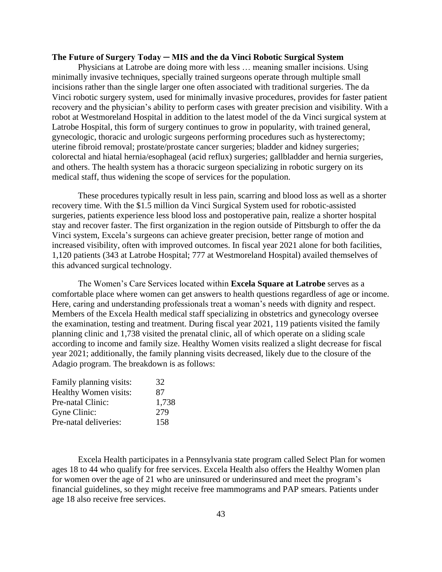### **The Future of Surgery Today ─ MIS and the da Vinci Robotic Surgical System**

Physicians at Latrobe are doing more with less … meaning smaller incisions. Using minimally invasive techniques, specially trained surgeons operate through multiple small incisions rather than the single larger one often associated with traditional surgeries. The da Vinci robotic surgery system, used for minimally invasive procedures, provides for faster patient recovery and the physician's ability to perform cases with greater precision and visibility. With a robot at Westmoreland Hospital in addition to the latest model of the da Vinci surgical system at Latrobe Hospital, this form of surgery continues to grow in popularity, with trained general, gynecologic, thoracic and urologic surgeons performing procedures such as hysterectomy; uterine fibroid removal; prostate/prostate cancer surgeries; bladder and kidney surgeries; colorectal and hiatal hernia/esophageal (acid reflux) surgeries; gallbladder and hernia surgeries, and others. The health system has a thoracic surgeon specializing in robotic surgery on its medical staff, thus widening the scope of services for the population.

These procedures typically result in less pain, scarring and blood loss as well as a shorter recovery time. With the \$1.5 million da Vinci Surgical System used for robotic-assisted surgeries, patients experience less blood loss and postoperative pain, realize a shorter hospital stay and recover faster. The first organization in the region outside of Pittsburgh to offer the da Vinci system, Excela's surgeons can achieve greater precision, better range of motion and increased visibility, often with improved outcomes. In fiscal year 2021 alone for both facilities, 1,120 patients (343 at Latrobe Hospital; 777 at Westmoreland Hospital) availed themselves of this advanced surgical technology.

The Women's Care Services located within **Excela Square at Latrobe** serves as a comfortable place where women can get answers to health questions regardless of age or income. Here, caring and understanding professionals treat a woman's needs with dignity and respect. Members of the Excela Health medical staff specializing in obstetrics and gynecology oversee the examination, testing and treatment. During fiscal year 2021, 119 patients visited the family planning clinic and 1,738 visited the prenatal clinic, all of which operate on a sliding scale according to income and family size. Healthy Women visits realized a slight decrease for fiscal year 2021; additionally, the family planning visits decreased, likely due to the closure of the Adagio program. The breakdown is as follows:

| 32    |
|-------|
| 87    |
| 1,738 |
| 279   |
| 158   |
|       |

Excela Health participates in a Pennsylvania state program called Select Plan for women ages 18 to 44 who qualify for free services. Excela Health also offers the Healthy Women plan for women over the age of 21 who are uninsured or underinsured and meet the program's financial guidelines, so they might receive free mammograms and PAP smears. Patients under age 18 also receive free services.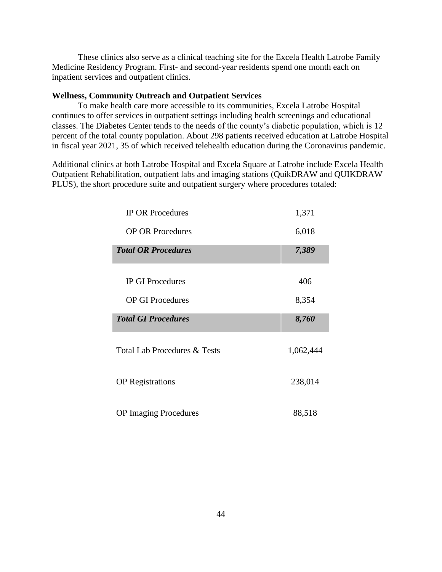These clinics also serve as a clinical teaching site for the Excela Health Latrobe Family Medicine Residency Program. First- and second-year residents spend one month each on inpatient services and outpatient clinics.

# **Wellness, Community Outreach and Outpatient Services**

To make health care more accessible to its communities, Excela Latrobe Hospital continues to offer services in outpatient settings including health screenings and educational classes. The Diabetes Center tends to the needs of the county's diabetic population, which is 12 percent of the total county population. About 298 patients received education at Latrobe Hospital in fiscal year 2021, 35 of which received telehealth education during the Coronavirus pandemic.

Additional clinics at both Latrobe Hospital and Excela Square at Latrobe include Excela Health Outpatient Rehabilitation, outpatient labs and imaging stations (QuikDRAW and QUIKDRAW PLUS), the short procedure suite and outpatient surgery where procedures totaled:

| <b>IP OR Procedures</b>                 | 1,371     |
|-----------------------------------------|-----------|
| <b>OP OR Procedures</b>                 | 6,018     |
| <b>Total OR Procedures</b>              | 7,389     |
|                                         |           |
| <b>IP GI Procedures</b>                 | 406       |
| <b>OP GI Procedures</b>                 | 8,354     |
| <b>Total GI Procedures</b>              | 8,760     |
| <b>Total Lab Procedures &amp; Tests</b> | 1,062,444 |
| <b>OP</b> Registrations                 | 238,014   |
| <b>OP</b> Imaging Procedures            | 88,518    |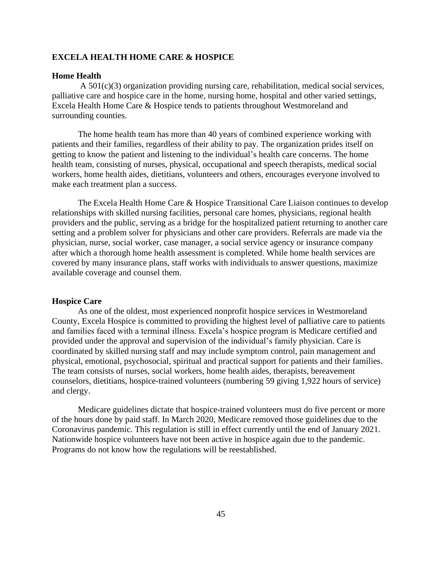# **EXCELA HEALTH HOME CARE & HOSPICE**

### **Home Health**

 A 501(c)(3) organization providing nursing care, rehabilitation, medical social services, palliative care and hospice care in the home, nursing home, hospital and other varied settings, Excela Health Home Care & Hospice tends to patients throughout Westmoreland and surrounding counties.

The home health team has more than 40 years of combined experience working with patients and their families, regardless of their ability to pay. The organization prides itself on getting to know the patient and listening to the individual's health care concerns. The home health team, consisting of nurses, physical, occupational and speech therapists, medical social workers, home health aides, dietitians, volunteers and others, encourages everyone involved to make each treatment plan a success.

The Excela Health Home Care & Hospice Transitional Care Liaison continues to develop relationships with skilled nursing facilities, personal care homes, physicians, regional health providers and the public, serving as a bridge for the hospitalized patient returning to another care setting and a problem solver for physicians and other care providers. Referrals are made via the physician, nurse, social worker, case manager, a social service agency or insurance company after which a thorough home health assessment is completed. While home health services are covered by many insurance plans, staff works with individuals to answer questions, maximize available coverage and counsel them.

### **Hospice Care**

 As one of the oldest, most experienced nonprofit hospice services in Westmoreland County, Excela Hospice is committed to providing the highest level of palliative care to patients and families faced with a terminal illness. Excela's hospice program is Medicare certified and provided under the approval and supervision of the individual's family physician. Care is coordinated by skilled nursing staff and may include symptom control, pain management and physical, emotional, psychosocial, spiritual and practical support for patients and their families. The team consists of nurses, social workers, home health aides, therapists, bereavement counselors, dietitians, hospice-trained volunteers (numbering 59 giving 1,922 hours of service) and clergy.

Medicare guidelines dictate that hospice-trained volunteers must do five percent or more of the hours done by paid staff. In March 2020, Medicare removed those guidelines due to the Coronavirus pandemic. This regulation is still in effect currently until the end of January 2021. Nationwide hospice volunteers have not been active in hospice again due to the pandemic. Programs do not know how the regulations will be reestablished.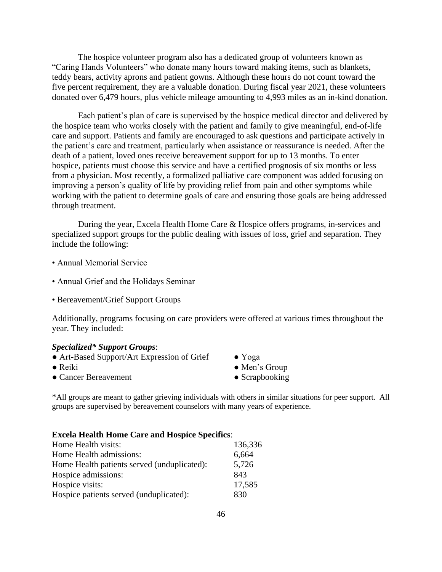The hospice volunteer program also has a dedicated group of volunteers known as "Caring Hands Volunteers" who donate many hours toward making items, such as blankets, teddy bears, activity aprons and patient gowns. Although these hours do not count toward the five percent requirement, they are a valuable donation. During fiscal year 2021, these volunteers donated over 6,479 hours, plus vehicle mileage amounting to 4,993 miles as an in-kind donation.

Each patient's plan of care is supervised by the hospice medical director and delivered by the hospice team who works closely with the patient and family to give meaningful, end-of-life care and support. Patients and family are encouraged to ask questions and participate actively in the patient's care and treatment, particularly when assistance or reassurance is needed. After the death of a patient, loved ones receive bereavement support for up to 13 months. To enter hospice, patients must choose this service and have a certified prognosis of six months or less from a physician. Most recently, a formalized palliative care component was added focusing on improving a person's quality of life by providing relief from pain and other symptoms while working with the patient to determine goals of care and ensuring those goals are being addressed through treatment.

During the year, Excela Health Home Care & Hospice offers programs, in-services and specialized support groups for the public dealing with issues of loss, grief and separation. They include the following:

- Annual Memorial Service
- Annual Grief and the Holidays Seminar
- Bereavement/Grief Support Groups

Additionally, programs focusing on care providers were offered at various times throughout the year. They included:

## *Specialized\* Support Groups*:

- Art-Based Support/Art Expression of Grief Yoga
- 
- Cancer Bereavement Scrapbooking
- 
- Reiki Men's Group
	-

\*All groups are meant to gather grieving individuals with others in similar situations for peer support. All groups are supervised by bereavement counselors with many years of experience.

#### **Excela Health Home Care and Hospice Specifics**:

| Home Health visits:                         | 136,336 |
|---------------------------------------------|---------|
| Home Health admissions:                     | 6,664   |
| Home Health patients served (unduplicated): | 5,726   |
| Hospice admissions:                         | 843     |
| Hospice visits:                             | 17,585  |
| Hospice patients served (unduplicated):     | 830     |